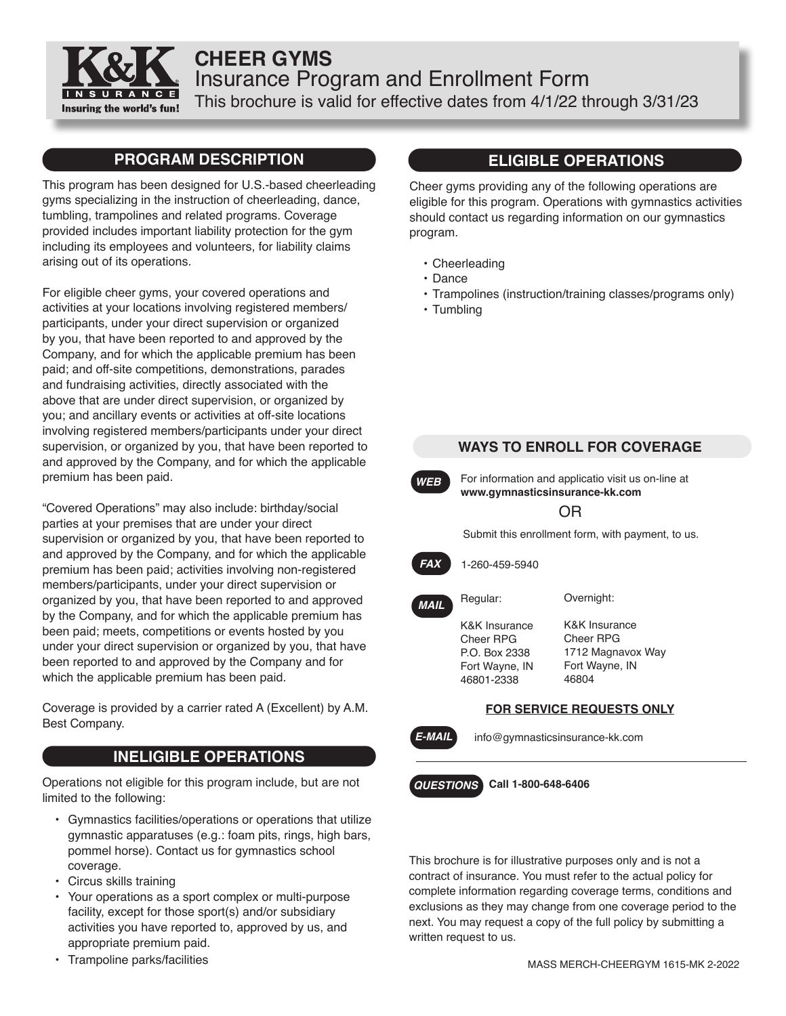

# **CHEER GYMS** Insurance Program and Enrollment Form This brochure is valid for effective dates from 4/1/22 through 3/31/23

### **PROGRAM DESCRIPTION**

This program has been designed for U.S.-based cheerleading gyms specializing in the instruction of cheerleading, dance, tumbling, trampolines and related programs. Coverage provided includes important liability protection for the gym including its employees and volunteers, for liability claims arising out of its operations.

For eligible cheer gyms, your covered operations and activities at your locations involving registered members/ participants, under your direct supervision or organized by you, that have been reported to and approved by the Company, and for which the applicable premium has been paid; and off-site competitions, demonstrations, parades and fundraising activities, directly associated with the above that are under direct supervision, or organized by you; and ancillary events or activities at off-site locations involving registered members/participants under your direct supervision, or organized by you, that have been reported to and approved by the Company, and for which the applicable premium has been paid.

"Covered Operations" may also include: birthday/social parties at your premises that are under your direct supervision or organized by you, that have been reported to and approved by the Company, and for which the applicable premium has been paid; activities involving non-registered members/participants, under your direct supervision or organized by you, that have been reported to and approved by the Company, and for which the applicable premium has been paid; meets, competitions or events hosted by you under your direct supervision or organized by you, that have been reported to and approved by the Company and for which the applicable premium has been paid.

Coverage is provided by a carrier rated A (Excellent) by A.M. Best Company.

### **INELIGIBLE OPERATIONS**

Operations not eligible for this program include, but are not limited to the following:

- Gymnastics facilities/operations or operations that utilize gymnastic apparatuses (e.g.: foam pits, rings, high bars, pommel horse). Contact us for gymnastics school coverage.
- Circus skills training
- Your operations as a sport complex or multi-purpose facility, except for those sport(s) and/or subsidiary activities you have reported to, approved by us, and appropriate premium paid.
- Trampoline parks/facilities

### **ELIGIBLE OPERATIONS**

Cheer gyms providing any of the following operations are eligible for this program. Operations with gymnastics activities should contact us regarding information on our gymnastics program.

- Cheerleading
- Dance
- Trampolines (instruction/training classes/programs only)
- Tumbling



This brochure is for illustrative purposes only and is not a contract of insurance. You must refer to the actual policy for complete information regarding coverage terms, conditions and exclusions as they may change from one coverage period to the next. You may request a copy of the full policy by submitting a written request to us.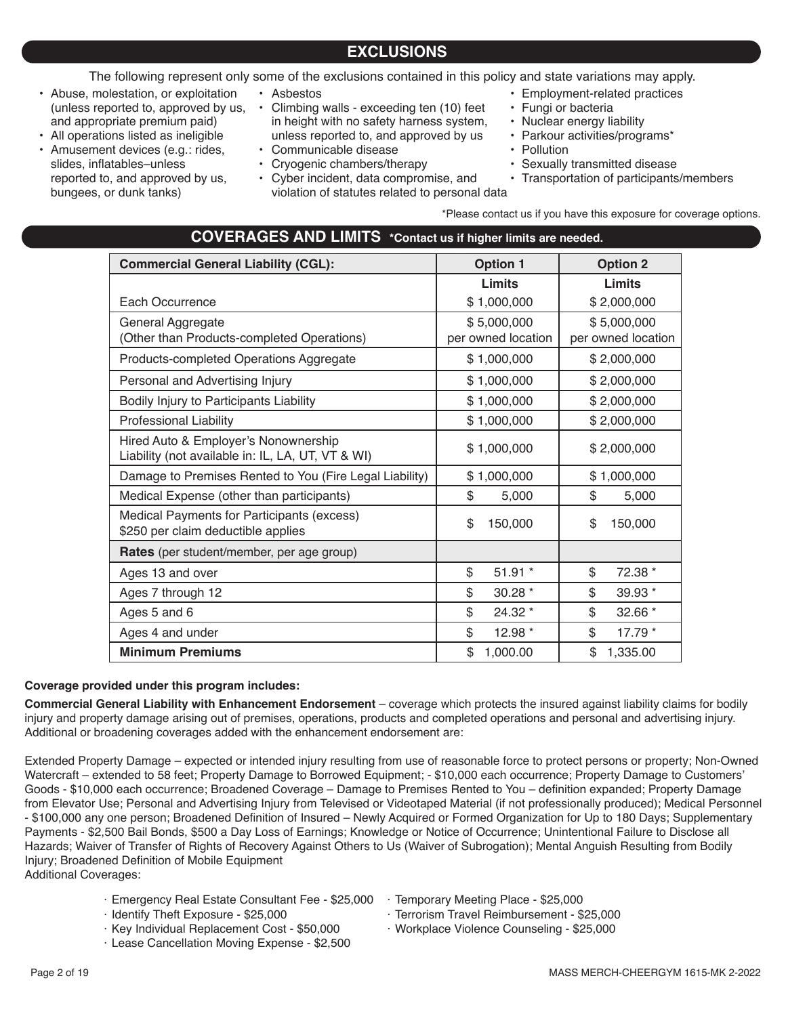The following represent only some of the exclusions contained in this policy and state variations may apply.

- Abuse, molestation, or exploitation (unless reported to, approved by us, and appropriate premium paid)
- All operations listed as ineligible • Amusement devices (e.g.: rides,
- slides, inflatables–unless reported to, and approved by us, bungees, or dunk tanks)
- Asbestos
- Climbing walls exceeding ten (10) feet in height with no safety harness system, unless reported to, and approved by us
- Communicable disease
- Cryogenic chambers/therapy • Cyber incident, data compromise, and
- violation of statutes related to personal data
- Employment-related practices
- Fungi or bacteria
- Nuclear energy liability
- Parkour activities/programs\*
- Pollution
- Sexually transmitted disease
- Transportation of participants/members

\*Please contact us if you have this exposure for coverage options.

| <b>Commercial General Liability (CGL):</b>                                                | <b>Option 1</b>                   | <b>Option 2</b>                   |  |
|-------------------------------------------------------------------------------------------|-----------------------------------|-----------------------------------|--|
|                                                                                           | Limits                            | <b>Limits</b>                     |  |
| Each Occurrence                                                                           | \$1,000,000                       | \$2,000,000                       |  |
| General Aggregate<br>(Other than Products-completed Operations)                           | \$5,000,000<br>per owned location | \$5,000,000<br>per owned location |  |
| Products-completed Operations Aggregate                                                   | \$1,000,000                       | \$2,000,000                       |  |
| Personal and Advertising Injury                                                           | \$1,000,000                       | \$2,000,000                       |  |
| Bodily Injury to Participants Liability                                                   | \$1,000,000                       | \$2,000,000                       |  |
| <b>Professional Liability</b>                                                             | \$1,000,000                       | \$2,000,000                       |  |
| Hired Auto & Employer's Nonownership<br>Liability (not available in: IL, LA, UT, VT & WI) | \$1,000,000                       | \$2,000,000                       |  |
| Damage to Premises Rented to You (Fire Legal Liability)                                   | \$1,000,000                       | \$1,000,000                       |  |
| Medical Expense (other than participants)                                                 | \$<br>5,000                       | \$<br>5,000                       |  |
| Medical Payments for Participants (excess)<br>\$250 per claim deductible applies          | \$<br>150,000                     | \$<br>150,000                     |  |
| Rates (per student/member, per age group)                                                 |                                   |                                   |  |
| Ages 13 and over                                                                          | \$<br>$51.91*$                    | \$<br>72.38 *                     |  |
| Ages 7 through 12                                                                         | \$<br>$30.28*$                    | \$<br>$39.93*$                    |  |
| Ages 5 and 6                                                                              | \$<br>24.32 *                     | \$<br>32.66 *                     |  |
| Ages 4 and under                                                                          | \$<br>12.98 *                     | \$<br>17.79 *                     |  |
| <b>Minimum Premiums</b>                                                                   | \$<br>1,000.00                    | \$<br>1,335.00                    |  |

#### **Coverage provided under this program includes:**

**Commercial General Liability with Enhancement Endorsement** – coverage which protects the insured against liability claims for bodily injury and property damage arising out of premises, operations, products and completed operations and personal and advertising injury. Additional or broadening coverages added with the enhancement endorsement are:

Extended Property Damage – expected or intended injury resulting from use of reasonable force to protect persons or property; Non-Owned Watercraft – extended to 58 feet; Property Damage to Borrowed Equipment; - \$10,000 each occurrence; Property Damage to Customers' Goods - \$10,000 each occurrence; Broadened Coverage – Damage to Premises Rented to You – definition expanded; Property Damage from Elevator Use; Personal and Advertising Injury from Televised or Videotaped Material (if not professionally produced); Medical Personnel - \$100,000 any one person; Broadened Definition of Insured – Newly Acquired or Formed Organization for Up to 180 Days; Supplementary Payments - \$2,500 Bail Bonds, \$500 a Day Loss of Earnings; Knowledge or Notice of Occurrence; Unintentional Failure to Disclose all Hazards; Waiver of Transfer of Rights of Recovery Against Others to Us (Waiver of Subrogation); Mental Anguish Resulting from Bodily Injury; Broadened Definition of Mobile Equipment

Additional Coverages:

- · Emergency Real Estate Consultant Fee \$25,000
- · Identify Theft Exposure \$25,000
- · Key Individual Replacement Cost \$50,000
- · Lease Cancellation Moving Expense \$2,500
- · Temporary Meeting Place \$25,000
- · Terrorism Travel Reimbursement \$25,000

· Workplace Violence Counseling - \$25,000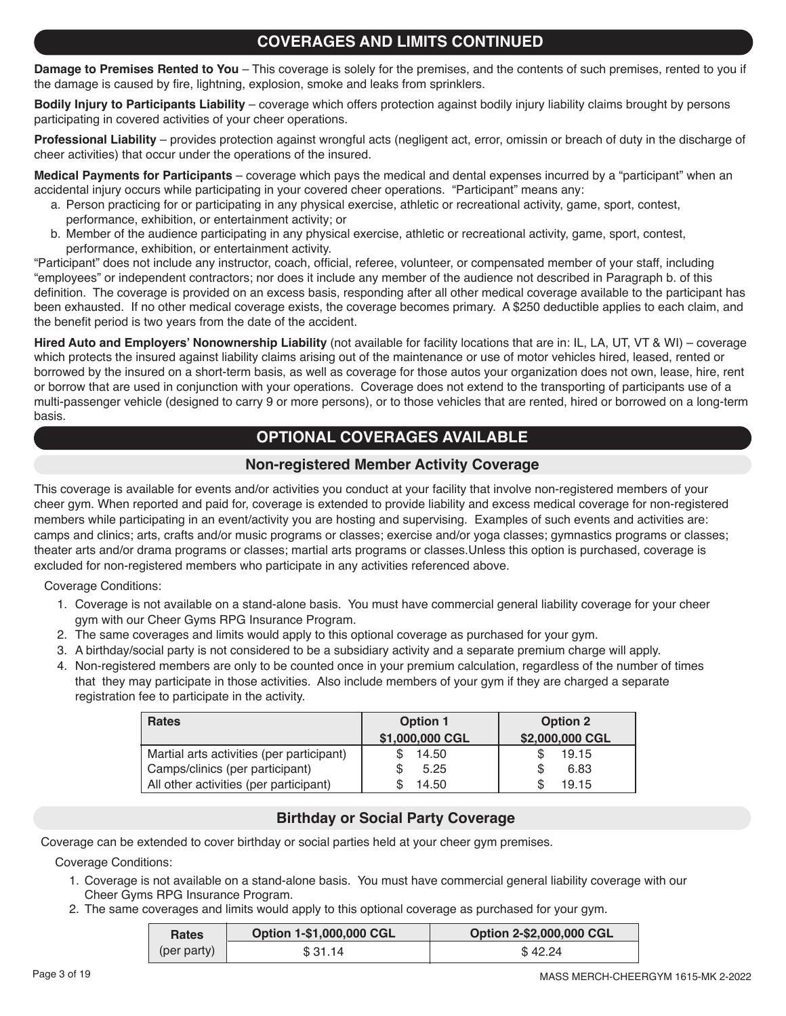# **COVERAGES AND LIMITS CONTINUED**

**Damage to Premises Rented to You** – This coverage is solely for the premises, and the contents of such premises, rented to you if the damage is caused by fire, lightning, explosion, smoke and leaks from sprinklers.

**Bodily Injury to Participants Liability** – coverage which offers protection against bodily injury liability claims brought by persons participating in covered activities of your cheer operations.

**Professional Liability** – provides protection against wrongful acts (negligent act, error, omissin or breach of duty in the discharge of cheer activities) that occur under the operations of the insured.

**Medical Payments for Participants** – coverage which pays the medical and dental expenses incurred by a "participant" when an accidental injury occurs while participating in your covered cheer operations. "Participant" means any:

- a. Person practicing for or participating in any physical exercise, athletic or recreational activity, game, sport, contest, performance, exhibition, or entertainment activity; or
- b. Member of the audience participating in any physical exercise, athletic or recreational activity, game, sport, contest, performance, exhibition, or entertainment activity.

"Participant" does not include any instructor, coach, official, referee, volunteer, or compensated member of your staff, including "employees" or independent contractors; nor does it include any member of the audience not described in Paragraph b. of this definition. The coverage is provided on an excess basis, responding after all other medical coverage available to the participant has been exhausted. If no other medical coverage exists, the coverage becomes primary. A \$250 deductible applies to each claim, and the benefit period is two years from the date of the accident.

**Hired Auto and Employers' Nonownership Liability** (not available for facility locations that are in: IL, LA, UT, VT & WI) – coverage which protects the insured against liability claims arising out of the maintenance or use of motor vehicles hired, leased, rented or borrowed by the insured on a short-term basis, as well as coverage for those autos your organization does not own, lease, hire, rent or borrow that are used in conjunction with your operations. Coverage does not extend to the transporting of participants use of a multi-passenger vehicle (designed to carry 9 or more persons), or to those vehicles that are rented, hired or borrowed on a long-term basis.

# **OPTIONAL COVERAGES AVAILABLE**

### **Non-registered Member Activity Coverage**

This coverage is available for events and/or activities you conduct at your facility that involve non-registered members of your cheer gym. When reported and paid for, coverage is extended to provide liability and excess medical coverage for non-registered members while participating in an event/activity you are hosting and supervising. Examples of such events and activities are: camps and clinics; arts, crafts and/or music programs or classes; exercise and/or yoga classes; gymnastics programs or classes; theater arts and/or drama programs or classes; martial arts programs or classes.Unless this option is purchased, coverage is excluded for non-registered members who participate in any activities referenced above.

Coverage Conditions:

- 1. Coverage is not available on a stand-alone basis. You must have commercial general liability coverage for your cheer gym with our Cheer Gyms RPG Insurance Program.
- 2. The same coverages and limits would apply to this optional coverage as purchased for your gym.
- 3. A birthday/social party is not considered to be a subsidiary activity and a separate premium charge will apply.
- 4. Non-registered members are only to be counted once in your premium calculation, regardless of the number of times that they may participate in those activities. Also include members of your gym if they are charged a separate registration fee to participate in the activity.

| <b>Rates</b>                              | <b>Option 1</b> | <b>Option 2</b> |
|-------------------------------------------|-----------------|-----------------|
|                                           | \$1,000,000 CGL | \$2,000,000 CGL |
| Martial arts activities (per participant) | 14.50           | 19.15           |
| Camps/clinics (per participant)           | 5.25            | 6.83            |
| All other activities (per participant)    | 14.50           | 19.15           |

### **Birthday or Social Party Coverage**

Coverage can be extended to cover birthday or social parties held at your cheer gym premises.

Coverage Conditions:

- 1. Coverage is not available on a stand-alone basis. You must have commercial general liability coverage with our Cheer Gyms RPG Insurance Program.
- 2. The same coverages and limits would apply to this optional coverage as purchased for your gym.

| <b>Option 1-\$1,000,000 CGL</b><br><b>Rates</b> |        | Option 2-\$2,000,000 CGL |  |  |
|-------------------------------------------------|--------|--------------------------|--|--|
| (per party)                                     | \$3114 | \$42.24                  |  |  |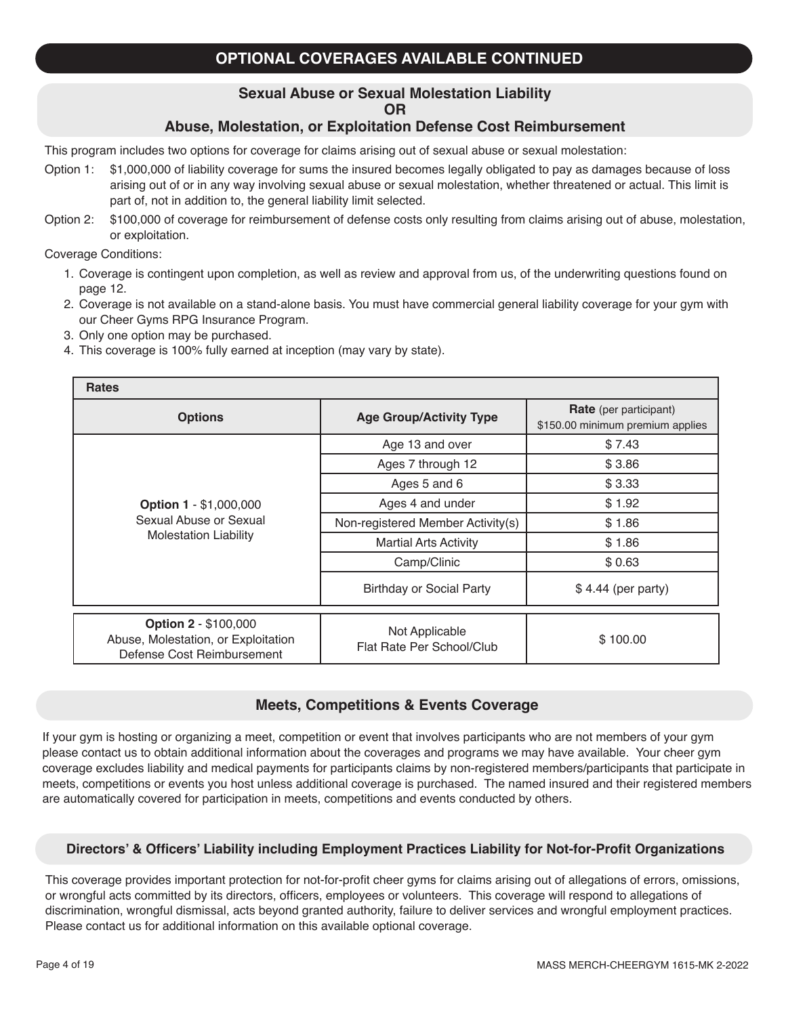# **OPTIONAL COVERAGES AVAILABLE CONTINUED**

#### **Sexual Abuse or Sexual Molestation Liability OR**

#### **Abuse, Molestation, or Exploitation Defense Cost Reimbursement**

This program includes two options for coverage for claims arising out of sexual abuse or sexual molestation:

- Option 1: \$1,000,000 of liability coverage for sums the insured becomes legally obligated to pay as damages because of loss arising out of or in any way involving sexual abuse or sexual molestation, whether threatened or actual. This limit is part of, not in addition to, the general liability limit selected.
- Option 2: \$100,000 of coverage for reimbursement of defense costs only resulting from claims arising out of abuse, molestation, or exploitation.

Coverage Conditions:

- 1. Coverage is contingent upon completion, as well as review and approval from us, of the underwriting questions found on page 12.
- 2. Coverage is not available on a stand-alone basis. You must have commercial general liability coverage for your gym with our Cheer Gyms RPG Insurance Program.
- 3. Only one option may be purchased.
- 4. This coverage is 100% fully earned at inception (may vary by state).

| <b>Rates</b>                                                                                     |                                                       |                                                                   |  |  |  |  |
|--------------------------------------------------------------------------------------------------|-------------------------------------------------------|-------------------------------------------------------------------|--|--|--|--|
| <b>Options</b>                                                                                   | <b>Age Group/Activity Type</b>                        | <b>Rate</b> (per participant)<br>\$150.00 minimum premium applies |  |  |  |  |
|                                                                                                  | Age 13 and over                                       | \$7.43                                                            |  |  |  |  |
|                                                                                                  | Ages 7 through 12                                     | \$3.86                                                            |  |  |  |  |
|                                                                                                  | Ages 5 and 6                                          | \$3.33                                                            |  |  |  |  |
| <b>Option 1 - \$1,000,000</b><br>Sexual Abuse or Sexual<br><b>Molestation Liability</b>          | Ages 4 and under                                      | \$1.92                                                            |  |  |  |  |
|                                                                                                  | Non-registered Member Activity(s)                     | \$1.86                                                            |  |  |  |  |
|                                                                                                  | <b>Martial Arts Activity</b>                          | \$1.86                                                            |  |  |  |  |
|                                                                                                  | Camp/Clinic                                           | \$0.63                                                            |  |  |  |  |
|                                                                                                  | <b>Birthday or Social Party</b><br>\$4.44 (per party) |                                                                   |  |  |  |  |
| <b>Option 2 - \$100,000</b><br>Abuse, Molestation, or Exploitation<br>Defense Cost Reimbursement | Not Applicable<br>Flat Rate Per School/Club           | \$100.00                                                          |  |  |  |  |

#### **Meets, Competitions & Events Coverage**

If your gym is hosting or organizing a meet, competition or event that involves participants who are not members of your gym please contact us to obtain additional information about the coverages and programs we may have available. Your cheer gym coverage excludes liability and medical payments for participants claims by non-registered members/participants that participate in meets, competitions or events you host unless additional coverage is purchased. The named insured and their registered members are automatically covered for participation in meets, competitions and events conducted by others.

#### **Directors' & Officers' Liability including Employment Practices Liability for Not-for-Profit Organizations**

This coverage provides important protection for not-for-profit cheer gyms for claims arising out of allegations of errors, omissions, or wrongful acts committed by its directors, officers, employees or volunteers. This coverage will respond to allegations of discrimination, wrongful dismissal, acts beyond granted authority, failure to deliver services and wrongful employment practices. Please contact us for additional information on this available optional coverage.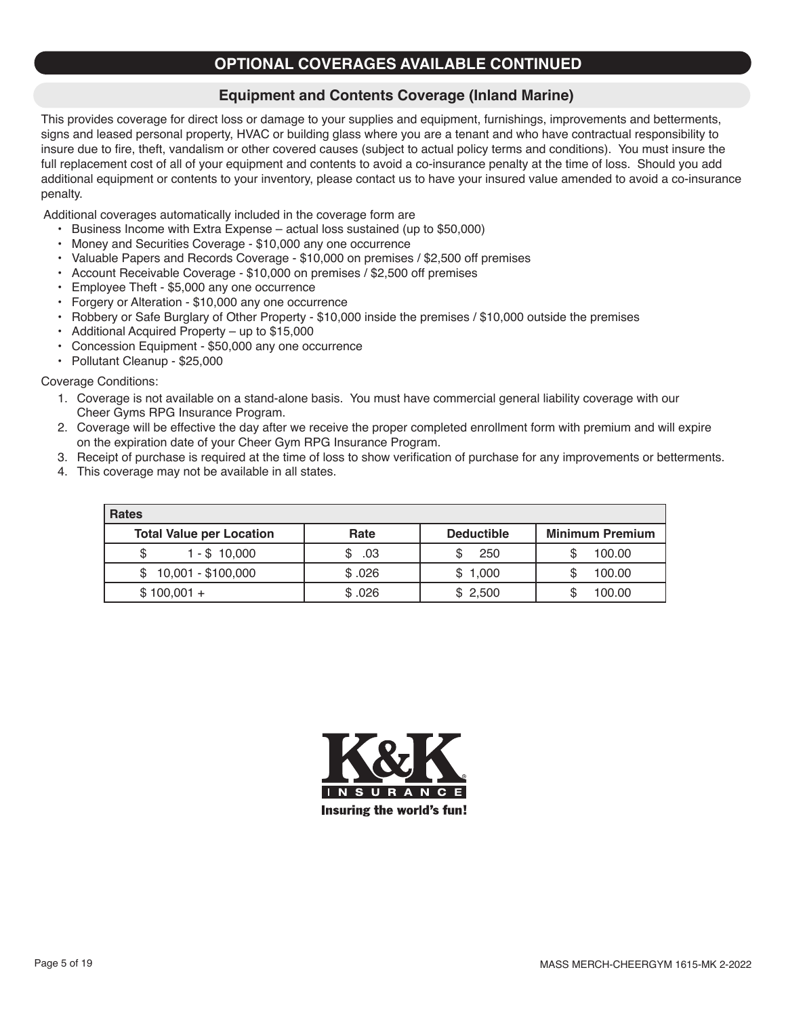### **OPTIONAL COVERAGES AVAILABLE CONTINUED**

### **Equipment and Contents Coverage (Inland Marine)**

This provides coverage for direct loss or damage to your supplies and equipment, furnishings, improvements and betterments, signs and leased personal property, HVAC or building glass where you are a tenant and who have contractual responsibility to insure due to fire, theft, vandalism or other covered causes (subject to actual policy terms and conditions). You must insure the full replacement cost of all of your equipment and contents to avoid a co-insurance penalty at the time of loss. Should you add additional equipment or contents to your inventory, please contact us to have your insured value amended to avoid a co-insurance penalty.

Additional coverages automatically included in the coverage form are

- • Business Income with Extra Expense actual loss sustained (up to \$50,000)
- Money and Securities Coverage \$10,000 any one occurrence
- • Valuable Papers and Records Coverage \$10,000 on premises / \$2,500 off premises
- Account Receivable Coverage \$10,000 on premises / \$2,500 off premises
- • Employee Theft \$5,000 any one occurrence
- Forgery or Alteration \$10,000 any one occurrence
- Robbery or Safe Burglary of Other Property \$10,000 inside the premises / \$10,000 outside the premises
- Additional Acquired Property up to  $$15,000$
- Concession Equipment \$50,000 any one occurrence
- • Pollutant Cleanup \$25,000

#### Coverage Conditions:

- 1. Coverage is not available on a stand-alone basis. You must have commercial general liability coverage with our Cheer Gyms RPG Insurance Program.
- 2. Coverage will be effective the day after we receive the proper completed enrollment form with premium and will expire on the expiration date of your Cheer Gym RPG Insurance Program.
- 3. Receipt of purchase is required at the time of loss to show verification of purchase for any improvements or betterments.
- 4. This coverage may not be available in all states.

| <b>Rates</b>                    |        |                   |                        |  |  |
|---------------------------------|--------|-------------------|------------------------|--|--|
| <b>Total Value per Location</b> | Rate   | <b>Deductible</b> | <b>Minimum Premium</b> |  |  |
| $1 - $10.000$                   | .03    | 250               | 100.00                 |  |  |
| $$10,001 - $100,000$            | \$.026 | \$1,000           | 100.00                 |  |  |
| $$100,001 +$                    | \$.026 | \$2,500           | 100.00                 |  |  |

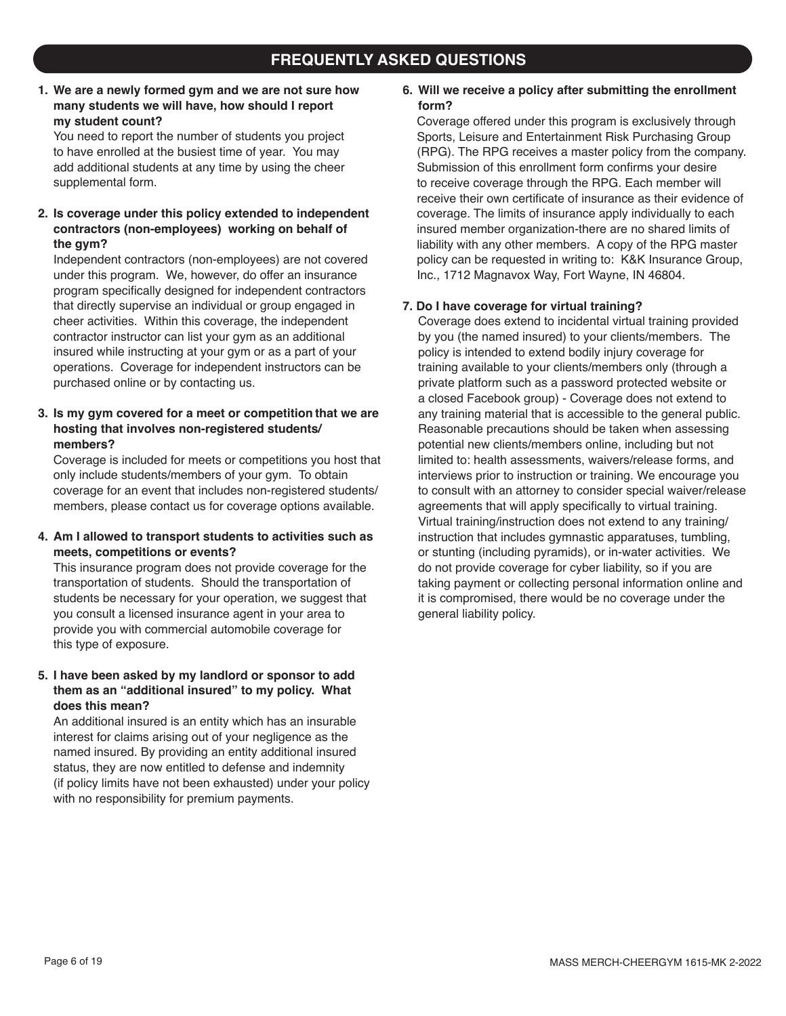### **FREQUENTLY ASKED QUESTIONS**

#### **1. We are a newly formed gym and we are not sure how many students we will have, how should I report my student count?**

You need to report the number of students you project to have enrolled at the busiest time of year. You may add additional students at any time by using the cheer supplemental form.

#### **2. Is coverage under this policy extended to independent contractors (non-employees) working on behalf of the gym?**

Independent contractors (non-employees) are not covered under this program. We, however, do offer an insurance program specifically designed for independent contractors that directly supervise an individual or group engaged in cheer activities. Within this coverage, the independent contractor instructor can list your gym as an additional insured while instructing at your gym or as a part of your operations. Coverage for independent instructors can be purchased online or by contacting us.

#### **3. Is my gym covered for a meet or competition that we are hosting that involves non-registered students/ members?**

Coverage is included for meets or competitions you host that only include students/members of your gym. To obtain coverage for an event that includes non-registered students/ members, please contact us for coverage options available.

#### **4. Am I allowed to transport students to activities such as meets, competitions or events?**

This insurance program does not provide coverage for the transportation of students. Should the transportation of students be necessary for your operation, we suggest that you consult a licensed insurance agent in your area to provide you with commercial automobile coverage for this type of exposure.

#### **5. I have been asked by my landlord or sponsor to add them as an "additional insured" to my policy. What does this mean?**

An additional insured is an entity which has an insurable interest for claims arising out of your negligence as the named insured. By providing an entity additional insured status, they are now entitled to defense and indemnity (if policy limits have not been exhausted) under your policy with no responsibility for premium payments.

#### **6. Will we receive a policy after submitting the enrollment form?**

Coverage offered under this program is exclusively through Sports, Leisure and Entertainment Risk Purchasing Group (RPG). The RPG receives a master policy from the company. Submission of this enrollment form confirms your desire to receive coverage through the RPG. Each member will receive their own certificate of insurance as their evidence of coverage. The limits of insurance apply individually to each insured member organization-there are no shared limits of liability with any other members. A copy of the RPG master policy can be requested in writing to: K&K Insurance Group, Inc., 1712 Magnavox Way, Fort Wayne, IN 46804.

#### **7. Do I have coverage for virtual training?**

Coverage does extend to incidental virtual training provided by you (the named insured) to your clients/members. The policy is intended to extend bodily injury coverage for training available to your clients/members only (through a private platform such as a password protected website or a closed Facebook group) - Coverage does not extend to any training material that is accessible to the general public. Reasonable precautions should be taken when assessing potential new clients/members online, including but not limited to: health assessments, waivers/release forms, and interviews prior to instruction or training. We encourage you to consult with an attorney to consider special waiver/release agreements that will apply specifically to virtual training. Virtual training/instruction does not extend to any training/ instruction that includes gymnastic apparatuses, tumbling, or stunting (including pyramids), or in-water activities. We do not provide coverage for cyber liability, so if you are taking payment or collecting personal information online and it is compromised, there would be no coverage under the general liability policy.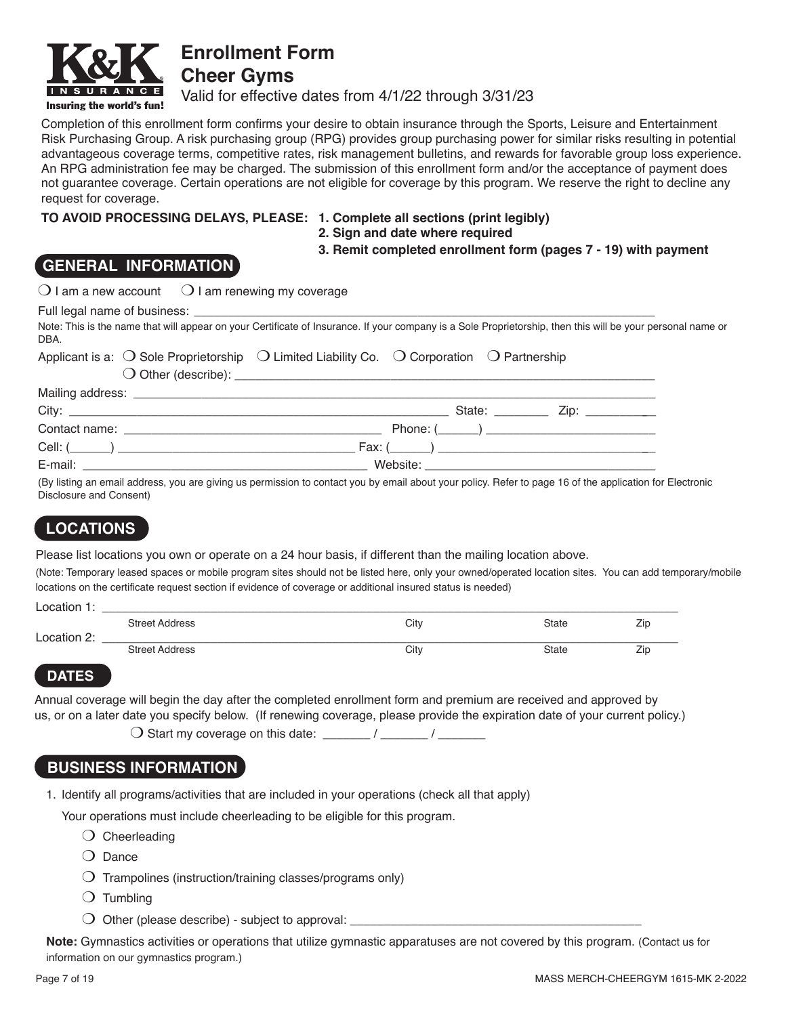

**Enrollment Form Cheer Gyms**

Valid for effective dates from 4/1/22 through 3/31/23

Completion of this enrollment form confirms your desire to obtain insurance through the Sports, Leisure and Entertainment Risk Purchasing Group. A risk purchasing group (RPG) provides group purchasing power for similar risks resulting in potential advantageous coverage terms, competitive rates, risk management bulletins, and rewards for favorable group loss experience. An RPG administration fee may be charged. The submission of this enrollment form and/or the acceptance of payment does not guarantee coverage. Certain operations are not eligible for coverage by this program. We reserve the right to decline any request for coverage.

#### **TO AVOID PROCESSING DELAYS, PLEASE: 1. Complete all sections (print legibly)**

- 
- **2. Sign and date where required**

**3. Remit completed enrollment form (pages 7 - 19) with payment**

### **GENERAL INFORMATION**

|      | $\bigcirc$ I am a new account $\bigcirc$ I am renewing my coverage                                                                                          |
|------|-------------------------------------------------------------------------------------------------------------------------------------------------------------|
|      |                                                                                                                                                             |
| DBA. | Note: This is the name that will appear on your Certificate of Insurance. If your company is a Sole Proprietorship, then this will be your personal name or |
|      | Applicant is a: $\bigcirc$ Sole Proprietorship $\bigcirc$ Limited Liability Co. $\bigcirc$ Corporation $\bigcirc$ Partnership                               |
|      |                                                                                                                                                             |
|      |                                                                                                                                                             |
|      |                                                                                                                                                             |
|      | $\mathsf{Phone}:\underline{\hspace{1cm}}\underline{\hspace{1cm}}\underline{\hspace{1cm}}$                                                                   |
|      | Cell: $(\_\_\_\_)$                                                                                                                                          |

E-mail: \_\_\_\_\_\_\_\_\_\_\_\_\_\_\_\_\_\_\_\_\_\_\_\_\_\_\_\_\_\_\_\_\_\_\_\_\_\_\_\_\_\_ Website: \_\_\_\_\_\_\_\_\_\_\_\_\_\_\_\_\_\_\_\_\_\_\_\_\_\_\_\_\_\_\_\_\_\_

(By listing an email address, you are giving us permission to contact you by email about your policy. Refer to page 16 of the application for Electronic Disclosure and Consent)

# **LOCATIONS**

Please list locations you own or operate on a 24 hour basis, if different than the mailing location above.

(Note: Temporary leased spaces or mobile program sites should not be listed here, only your owned/operated location sites. You can add temporary/mobile locations on the certificate request section if evidence of coverage or additional insured status is needed)

| Location 1: |                       |      |       |     |
|-------------|-----------------------|------|-------|-----|
|             | <b>Street Address</b> | City | State | Zic |
| Location 2: |                       |      |       |     |
|             | <b>Street Address</b> | City | State | Zic |
|             |                       |      |       |     |

#### **DATES**

Annual coverage will begin the day after the completed enrollment form and premium are received and approved by us, or on a later date you specify below. (If renewing coverage, please provide the expiration date of your current policy.)

 $\bigcirc$  Start my coverage on this date: \_\_\_\_\_\_\_ / \_\_\_\_\_\_\_ / \_\_\_\_\_\_\_\_

### **BUSINESS INFORMATION**

1. Identify all programs/activities that are included in your operations (check all that apply)

Your operations must include cheerleading to be eligible for this program.

- $\bigcirc$  Cheerleading
- $\bigcirc$  Dance
- $\bigcirc$  Trampolines (instruction/training classes/programs only)
- $\bigcirc$  Tumbling
- $\bigcirc$  Other (please describe) subject to approval:  $\overline{\phantom{a}}$

**Note:** Gymnastics activities or operations that utilize gymnastic apparatuses are not covered by this program. (Contact us for information on our gymnastics program.)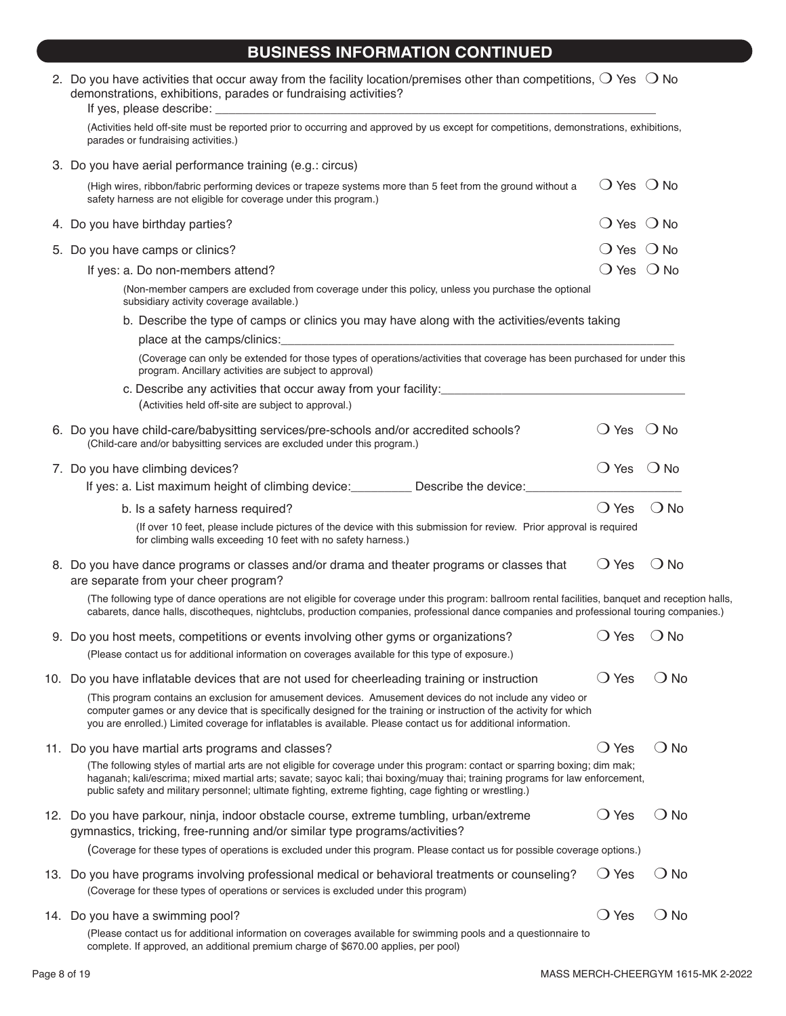### **BUSINESS INFORMATION CONTINUED**

| 2. Do you have activities that occur away from the facility location/premises other than competitions, $\bigcirc$ Yes $\bigcirc$ No<br>demonstrations, exhibitions, parades or fundraising activities?                                                                                                                                                                  |                              |               |  |
|-------------------------------------------------------------------------------------------------------------------------------------------------------------------------------------------------------------------------------------------------------------------------------------------------------------------------------------------------------------------------|------------------------------|---------------|--|
| (Activities held off-site must be reported prior to occurring and approved by us except for competitions, demonstrations, exhibitions,<br>parades or fundraising activities.)                                                                                                                                                                                           |                              |               |  |
| 3. Do you have aerial performance training (e.g.: circus)                                                                                                                                                                                                                                                                                                               |                              |               |  |
| (High wires, ribbon/fabric performing devices or trapeze systems more than 5 feet from the ground without a<br>safety harness are not eligible for coverage under this program.)                                                                                                                                                                                        | $\bigcirc$ Yes $\bigcirc$ No |               |  |
| 4. Do you have birthday parties?                                                                                                                                                                                                                                                                                                                                        | $\bigcirc$ Yes $\bigcirc$ No |               |  |
| 5. Do you have camps or clinics?                                                                                                                                                                                                                                                                                                                                        | $\bigcirc$ Yes $\bigcirc$ No |               |  |
| If yes: a. Do non-members attend?                                                                                                                                                                                                                                                                                                                                       | $\bigcirc$ Yes $\bigcirc$ No |               |  |
| (Non-member campers are excluded from coverage under this policy, unless you purchase the optional<br>subsidiary activity coverage available.)                                                                                                                                                                                                                          |                              |               |  |
| b. Describe the type of camps or clinics you may have along with the activities/events taking                                                                                                                                                                                                                                                                           |                              |               |  |
| place at the camps/clinics: example and the camps of the camps of the contract of the camps of the contract of                                                                                                                                                                                                                                                          |                              |               |  |
| (Coverage can only be extended for those types of operations/activities that coverage has been purchased for under this<br>program. Ancillary activities are subject to approval)                                                                                                                                                                                       |                              |               |  |
| c. Describe any activities that occur away from your facility: [11] The content of the set of the content of the content of the content of the content of the content of the content of the content of the content of the cont<br>(Activities held off-site are subject to approval.)                                                                                   |                              |               |  |
| 6. Do you have child-care/babysitting services/pre-schools and/or accredited schools?<br>(Child-care and/or babysitting services are excluded under this program.)                                                                                                                                                                                                      | $\bigcirc$ Yes $\bigcirc$ No |               |  |
| 7. Do you have climbing devices?                                                                                                                                                                                                                                                                                                                                        | $\bigcirc$ Yes $\bigcirc$ No |               |  |
| If yes: a. List maximum height of climbing device: Describe the device: Describe the device:                                                                                                                                                                                                                                                                            |                              |               |  |
| b. Is a safety harness required?                                                                                                                                                                                                                                                                                                                                        | $\bigcirc$ Yes               | $\bigcirc$ No |  |
| (If over 10 feet, please include pictures of the device with this submission for review. Prior approval is required<br>for climbing walls exceeding 10 feet with no safety harness.)                                                                                                                                                                                    |                              |               |  |
| 8. Do you have dance programs or classes and/or drama and theater programs or classes that<br>are separate from your cheer program?                                                                                                                                                                                                                                     | $\bigcirc$ Yes               | $\bigcirc$ No |  |
| (The following type of dance operations are not eligible for coverage under this program: ballroom rental facilities, banquet and reception halls,<br>cabarets, dance halls, discotheques, nightclubs, production companies, professional dance companies and professional touring companies.)                                                                          |                              |               |  |
| 9. Do you host meets, competitions or events involving other gyms or organizations?                                                                                                                                                                                                                                                                                     | $\bigcirc$ Yes               | $\bigcirc$ No |  |
| (Please contact us for additional information on coverages available for this type of exposure.)                                                                                                                                                                                                                                                                        |                              |               |  |
| 10. Do you have inflatable devices that are not used for cheerleading training or instruction                                                                                                                                                                                                                                                                           | $\bigcirc$ Yes               | ( ) No        |  |
| (This program contains an exclusion for amusement devices. Amusement devices do not include any video or<br>computer games or any device that is specifically designed for the training or instruction of the activity for which<br>you are enrolled.) Limited coverage for inflatables is available. Please contact us for additional information.                     |                              |               |  |
| 11. Do you have martial arts programs and classes?                                                                                                                                                                                                                                                                                                                      | $\bigcirc$ Yes               | $\bigcirc$ No |  |
| (The following styles of martial arts are not eligible for coverage under this program: contact or sparring boxing; dim mak;<br>haganah; kali/escrima; mixed martial arts; savate; sayoc kali; thai boxing/muay thai; training programs for law enforcement,<br>public safety and military personnel; ultimate fighting, extreme fighting, cage fighting or wrestling.) |                              |               |  |
| 12. Do you have parkour, ninja, indoor obstacle course, extreme tumbling, urban/extreme<br>gymnastics, tricking, free-running and/or similar type programs/activities?                                                                                                                                                                                                  | $\bigcirc$ Yes               | ( ) No        |  |
| (Coverage for these types of operations is excluded under this program. Please contact us for possible coverage options.)                                                                                                                                                                                                                                               |                              |               |  |
| 13. Do you have programs involving professional medical or behavioral treatments or counseling?<br>(Coverage for these types of operations or services is excluded under this program)                                                                                                                                                                                  | $\bigcirc$ Yes               | $\bigcirc$ No |  |
| 14. Do you have a swimming pool?                                                                                                                                                                                                                                                                                                                                        | $\bigcirc$ Yes               | $\bigcirc$ No |  |
| (Please contact us for additional information on coverages available for swimming pools and a questionnaire to                                                                                                                                                                                                                                                          |                              |               |  |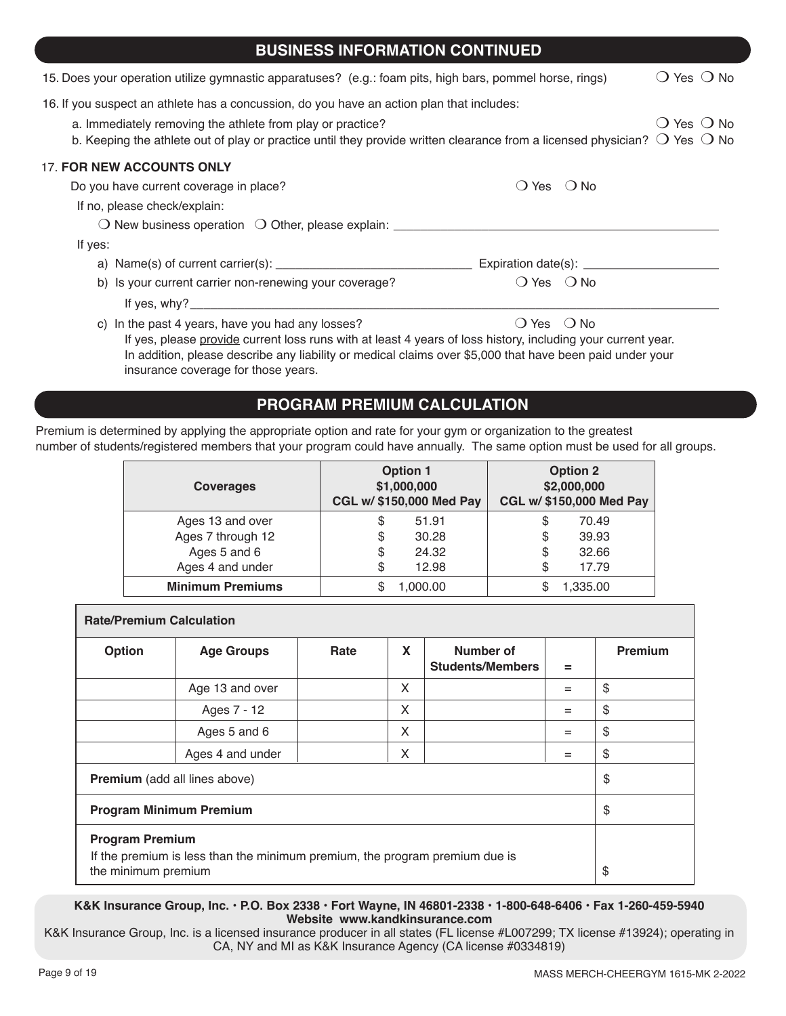| <b>BUSINESS INFORMATION CONTINUED</b>                                                                                                                            |                                  |                              |
|------------------------------------------------------------------------------------------------------------------------------------------------------------------|----------------------------------|------------------------------|
| 15. Does your operation utilize gymnastic apparatuses? (e.g.: foam pits, high bars, pommel horse, rings)                                                         |                                  | () Yes () No                 |
| 16. If you suspect an athlete has a concussion, do you have an action plan that includes:<br>a. Immediately removing the athlete from play or practice?          |                                  | $\bigcirc$ Yes $\bigcirc$ No |
| b. Keeping the athlete out of play or practice until they provide written clearance from a licensed physician? $\bigcirc$ Yes $\bigcirc$ No                      |                                  |                              |
| <b>17. FOR NEW ACCOUNTS ONLY</b>                                                                                                                                 |                                  |                              |
| Do you have current coverage in place?                                                                                                                           | () Yes () No                     |                              |
| If no, please check/explain:                                                                                                                                     |                                  |                              |
|                                                                                                                                                                  |                                  |                              |
| If yes:                                                                                                                                                          |                                  |                              |
| a) Name(s) of current carrier(s): $\frac{1}{2}$                                                                                                                  | Expiration date(s): ____________ |                              |
| b) Is your current carrier non-renewing your coverage?                                                                                                           | $\bigcirc$ Yes $\bigcirc$ No     |                              |
|                                                                                                                                                                  |                                  |                              |
| c) In the past 4 years, have you had any losses?<br>If yes, please provide current loss runs with at least 4 years of loss history, including your current year. | () Yes () No                     |                              |

 In addition, please describe any liability or medical claims over \$5,000 that have been paid under your insurance coverage for those years.

### **PROGRAM PREMIUM CALCULATION**

Premium is determined by applying the appropriate option and rate for your gym or organization to the greatest number of students/registered members that your program could have annually. The same option must be used for all groups.

| <b>Coverages</b>        | <b>Option 1</b><br>\$1,000,000<br>CGL w/ \$150,000 Med Pay | <b>Option 2</b><br>\$2,000,000<br>CGL w/ \$150,000 Med Pay |
|-------------------------|------------------------------------------------------------|------------------------------------------------------------|
| Ages 13 and over        | 51.91<br>\$                                                | 70.49<br>S                                                 |
| Ages 7 through 12       | 30.28<br>\$                                                | 39.93<br>S                                                 |
| Ages 5 and 6            | 24.32<br>\$                                                | 32.66<br>S                                                 |
| Ages 4 and under        | 12.98<br>\$                                                | 17.79<br>S                                                 |
| <b>Minimum Premiums</b> | 1,000.00                                                   | 1,335.00                                                   |

| <b>Rate/Premium Calculation</b>                                                                                              |                   |      |   |                                      |     |                |
|------------------------------------------------------------------------------------------------------------------------------|-------------------|------|---|--------------------------------------|-----|----------------|
| Option                                                                                                                       | <b>Age Groups</b> | Rate | X | Number of<br><b>Students/Members</b> | $=$ | <b>Premium</b> |
|                                                                                                                              | Age 13 and over   |      | X |                                      | $=$ | \$             |
|                                                                                                                              | Ages 7 - 12       |      | X |                                      | $=$ | \$             |
|                                                                                                                              | Ages 5 and 6      |      | X |                                      | $=$ | \$             |
|                                                                                                                              | Ages 4 and under  |      | X |                                      | $=$ | \$             |
| <b>Premium</b> (add all lines above)                                                                                         |                   |      |   |                                      | \$  |                |
| <b>Program Minimum Premium</b>                                                                                               |                   |      |   | \$                                   |     |                |
| <b>Program Premium</b><br>If the premium is less than the minimum premium, the program premium due is<br>the minimum premium |                   |      |   | \$                                   |     |                |

#### **K&K Insurance Group, Inc. • P.O. Box 2338 • Fort Wayne, IN 46801-2338 • 1-800-648-6406 • Fax 1-260-459-5940 Website www.kandkinsurance.com**

K&K Insurance Group, Inc. is a licensed insurance producer in all states (FL license #L007299; TX license #13924); operating in CA, NY and MI as K&K Insurance Agency (CA license #0334819)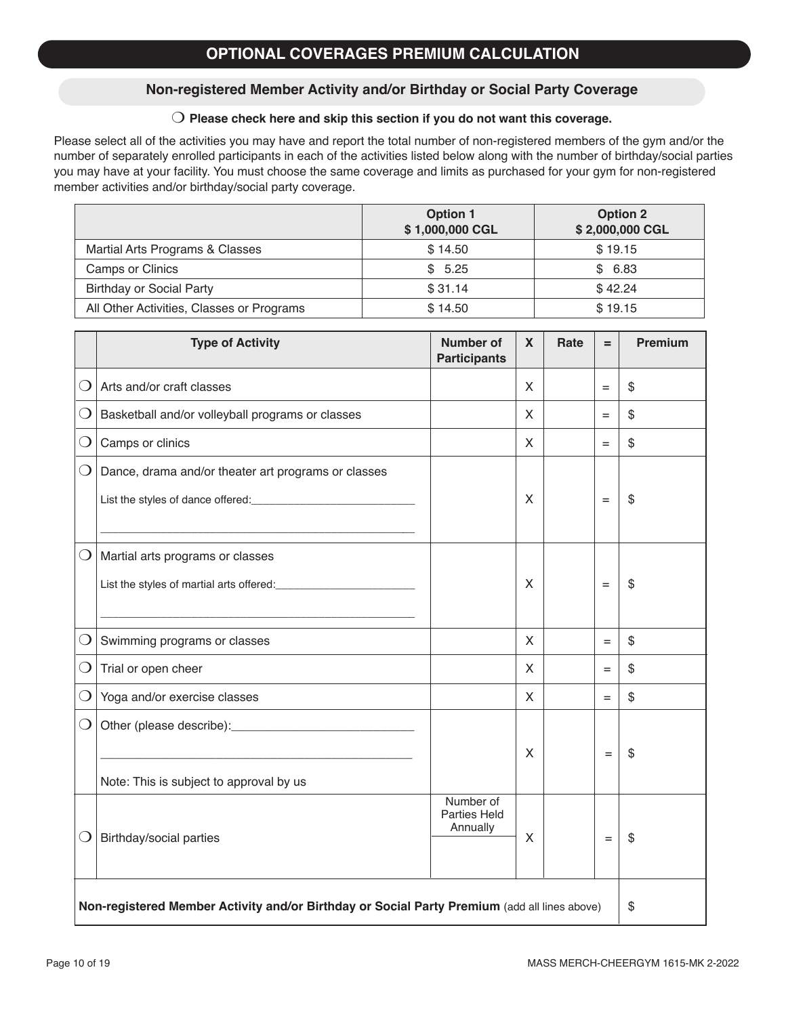#### **Non-registered Member Activity and/or Birthday or Social Party Coverage**

#### $\bigcirc$  Please check here and skip this section if you do not want this coverage.

Please select all of the activities you may have and report the total number of non-registered members of the gym and/or the number of separately enrolled participants in each of the activities listed below along with the number of birthday/social parties you may have at your facility. You must choose the same coverage and limits as purchased for your gym for non-registered member activities and/or birthday/social party coverage.

|                                           | <b>Option 1</b><br>\$1,000,000 CGL | <b>Option 2</b><br>\$2,000,000 CGL |
|-------------------------------------------|------------------------------------|------------------------------------|
| Martial Arts Programs & Classes           | \$14.50                            | \$19.15                            |
| Camps or Clinics                          | \$5.25                             | \$6.83                             |
| <b>Birthday or Social Party</b>           | \$31.14                            | \$42.24                            |
| All Other Activities, Classes or Programs | \$14.50                            | \$19.15                            |

|                                                                                              | <b>Type of Activity</b>                             | <b>Number of</b><br><b>Participants</b> | $\mathbf{X}$ | Rate | $=$ | <b>Premium</b> |
|----------------------------------------------------------------------------------------------|-----------------------------------------------------|-----------------------------------------|--------------|------|-----|----------------|
| $\left( \ \right)$                                                                           | Arts and/or craft classes                           |                                         | X            |      | $=$ | \$             |
| $\bigcirc$                                                                                   | Basketball and/or volleyball programs or classes    |                                         | X            |      | $=$ | \$             |
| $\bigcirc$                                                                                   | Camps or clinics                                    |                                         | $\mathsf{X}$ |      | $=$ | \$             |
| $\bigcirc$                                                                                   | Dance, drama and/or theater art programs or classes |                                         |              |      |     |                |
|                                                                                              |                                                     |                                         | X            |      | $=$ | \$             |
|                                                                                              |                                                     |                                         |              |      |     |                |
| $\bigcirc$                                                                                   | Martial arts programs or classes                    |                                         |              |      |     |                |
|                                                                                              |                                                     |                                         | X            |      | $=$ | \$             |
|                                                                                              |                                                     |                                         |              |      |     |                |
| $\mathbf{\Omega}$                                                                            | Swimming programs or classes                        |                                         | X            |      | $=$ | \$             |
| $\bigcirc$                                                                                   | Trial or open cheer                                 |                                         | X            |      | $=$ | \$             |
| $\Omega$                                                                                     | Yoga and/or exercise classes                        |                                         | X            |      | $=$ | \$             |
| $\bigcirc$                                                                                   |                                                     |                                         |              |      |     |                |
|                                                                                              |                                                     |                                         | X            |      | $=$ | \$             |
|                                                                                              | Note: This is subject to approval by us             |                                         |              |      |     |                |
| $\bigcirc$                                                                                   | Birthday/social parties                             | Number of<br>Parties Held<br>Annually   | X            |      | $=$ | \$             |
| Non-registered Member Activity and/or Birthday or Social Party Premium (add all lines above) |                                                     |                                         |              |      | \$  |                |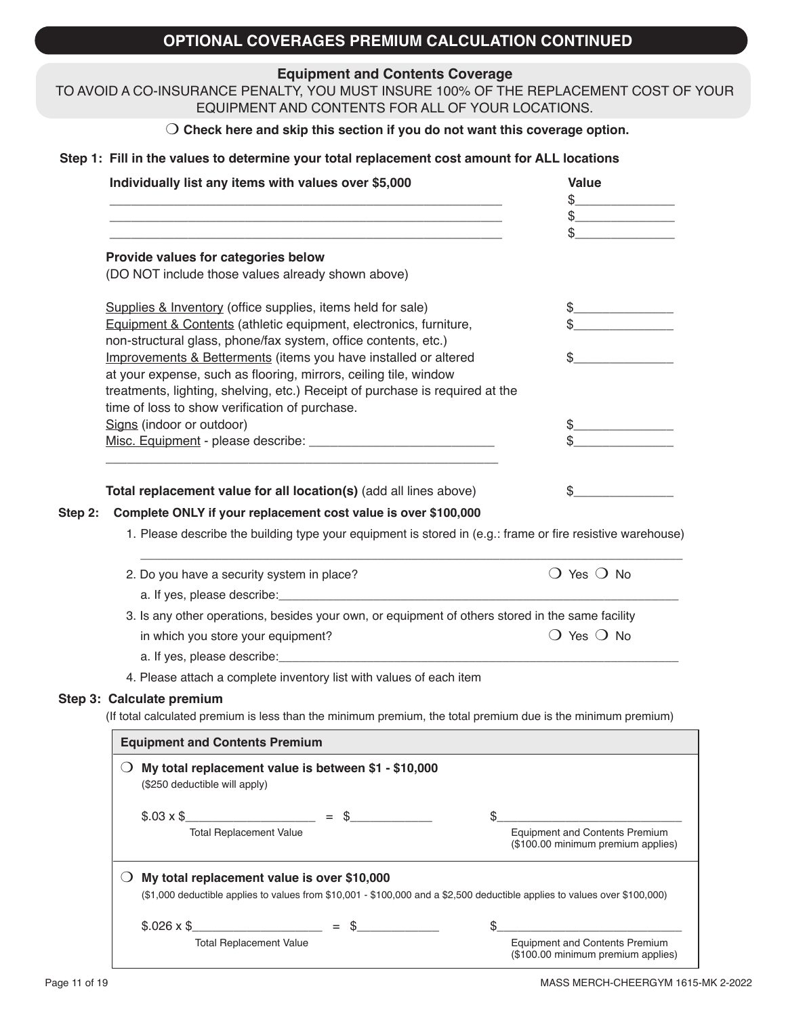# **OPTIONAL COVERAGES PREMIUM CALCULATION CONTINUED**

#### **Equipment and Contents Coverage**

#### TO AVOID A CO-INSURANCE PENALTY, YOU MUST INSURE 100% OF THE REPLACEMENT COST OF YOUR EQUIPMENT AND CONTENTS FOR ALL OF YOUR LOCATIONS.

#### O Check here and skip this section if you do not want this coverage option.

#### **Step 1: Fill in the values to determine your total replacement cost amount for ALL locations**

| Individually list any items with values over \$5,000                                                                                | <b>Value</b>                                                                                                               |
|-------------------------------------------------------------------------------------------------------------------------------------|----------------------------------------------------------------------------------------------------------------------------|
|                                                                                                                                     |                                                                                                                            |
|                                                                                                                                     |                                                                                                                            |
|                                                                                                                                     |                                                                                                                            |
| Provide values for categories below<br>(DO NOT include those values already shown above)                                            |                                                                                                                            |
|                                                                                                                                     |                                                                                                                            |
| Supplies & Inventory (office supplies, items held for sale)                                                                         |                                                                                                                            |
| Equipment & Contents (athletic equipment, electronics, furniture,                                                                   |                                                                                                                            |
| non-structural glass, phone/fax system, office contents, etc.)                                                                      |                                                                                                                            |
| Improvements & Betterments (items you have installed or altered<br>at your expense, such as flooring, mirrors, ceiling tile, window |                                                                                                                            |
| treatments, lighting, shelving, etc.) Receipt of purchase is required at the                                                        |                                                                                                                            |
| time of loss to show verification of purchase.                                                                                      |                                                                                                                            |
| Signs (indoor or outdoor)                                                                                                           |                                                                                                                            |
|                                                                                                                                     |                                                                                                                            |
|                                                                                                                                     |                                                                                                                            |
| Total replacement value for all location(s) (add all lines above)                                                                   | \$                                                                                                                         |
| Complete ONLY if your replacement cost value is over \$100,000<br>Step 2:                                                           |                                                                                                                            |
|                                                                                                                                     | 1. Please describe the building type your equipment is stored in (e.g.: frame or fire resistive warehouse)                 |
| 2. Do you have a security system in place?                                                                                          | $\bigcirc$ Yes $\bigcirc$ No                                                                                               |
| a. If yes, please describe: expression and the set of yes, please describe.                                                         |                                                                                                                            |
| 3. Is any other operations, besides your own, or equipment of others stored in the same facility                                    |                                                                                                                            |
| in which you store your equipment?                                                                                                  | $\bigcirc$ Yes $\bigcirc$ No                                                                                               |
|                                                                                                                                     |                                                                                                                            |
|                                                                                                                                     |                                                                                                                            |
| 4. Please attach a complete inventory list with values of each item                                                                 |                                                                                                                            |
| Step 3: Calculate premium                                                                                                           |                                                                                                                            |
| (If total calculated premium is less than the minimum premium, the total premium due is the minimum premium)                        |                                                                                                                            |
| <b>Equipment and Contents Premium</b>                                                                                               |                                                                                                                            |
| My total replacement value is between \$1 - \$10,000<br>(\$250 deductible will apply)                                               |                                                                                                                            |
| $$.03 \times $$ = \$                                                                                                                | \$                                                                                                                         |
| <b>Total Replacement Value</b>                                                                                                      | <b>Equipment and Contents Premium</b><br>(\$100.00 minimum premium applies)                                                |
| $\bigcirc$ My total replacement value is over \$10,000                                                                              | (\$1,000 deductible applies to values from \$10,001 - \$100,000 and a \$2,500 deductible applies to values over \$100,000) |
| $$.026 \times $$<br>$=$ \$                                                                                                          | \$                                                                                                                         |
| <b>Total Replacement Value</b>                                                                                                      | <b>Equipment and Contents Premium</b>                                                                                      |
|                                                                                                                                     | (\$100.00 minimum premium applies)                                                                                         |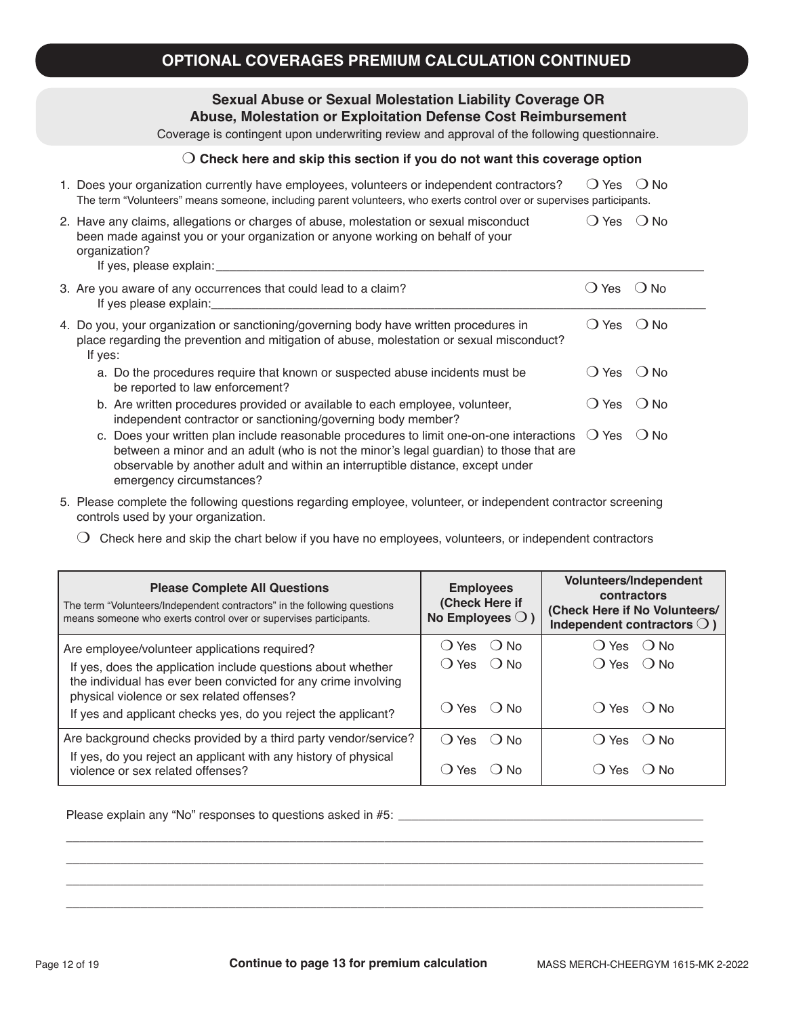# **OPTIONAL COVERAGES PREMIUM CALCULATION CONTINUED**

#### **Sexual Abuse or Sexual Molestation Liability Coverage OR Abuse, Molestation or Exploitation Defense Cost Reimbursement**

Coverage is contingent upon underwriting review and approval of the following questionnaire.

#### m **Check here and skip this section if you do not want this coverage option**

| 1. Does your organization currently have employees, volunteers or independent contractors?<br>The term "Volunteers" means someone, including parent volunteers, who exerts control over or supervises participants.                                                                 | Yes<br>$\left( \quad \right)$ | $\bigcirc$ No |
|-------------------------------------------------------------------------------------------------------------------------------------------------------------------------------------------------------------------------------------------------------------------------------------|-------------------------------|---------------|
| 2. Have any claims, allegations or charges of abuse, molestation or sexual misconduct<br>been made against you or your organization or anyone working on behalf of your<br>organization?<br>If yes, please explain: _____________                                                   | Yes                           | $\bigcirc$ No |
| 3. Are you aware of any occurrences that could lead to a claim?<br>If yes please explain:                                                                                                                                                                                           | Yes                           | $\odot$ No    |
| 4. Do you, your organization or sanctioning/governing body have written procedures in<br>place regarding the prevention and mitigation of abuse, molestation or sexual misconduct?<br>If yes:                                                                                       | $\bigcirc$ Yes                | $()$ No       |
| a. Do the procedures require that known or suspected abuse incidents must be<br>be reported to law enforcement?                                                                                                                                                                     | <b>Yes</b>                    | $()$ No       |
| b. Are written procedures provided or available to each employee, volunteer,<br>independent contractor or sanctioning/governing body member?                                                                                                                                        | Yes                           | $\bigcirc$ No |
| c. Does your written plan include reasonable procedures to limit one-on-one interactions $\bigcirc$ Yes<br>between a minor and an adult (who is not the minor's legal guardian) to those that are<br>observable by another adult and within an interruptible distance, except under |                               | $\bigcirc$ No |

- 5. Please complete the following questions regarding employee, volunteer, or independent contractor screening controls used by your organization.
	- $\bigcirc$  Check here and skip the chart below if you have no employees, volunteers, or independent contractors

| <b>Please Complete All Questions</b><br>The term "Volunteers/Independent contractors" in the following questions<br>means someone who exerts control over or supervises participants. | <b>Employees</b><br>(Check Here if<br>No Employees $\bigcirc$ ) | Volunteers/Independent<br>contractors<br>(Check Here if No Volunteers/<br>Independent contractors $\bigcirc$ ) |
|---------------------------------------------------------------------------------------------------------------------------------------------------------------------------------------|-----------------------------------------------------------------|----------------------------------------------------------------------------------------------------------------|
| Are employee/volunteer applications required?                                                                                                                                         | () No<br>( ) Yes                                                | $()$ Yes $()$ No                                                                                               |
| If yes, does the application include questions about whether<br>the individual has ever been convicted for any crime involving<br>physical violence or sex related offenses?          | () Yes () No                                                    | $()$ Yes $()$ No                                                                                               |
| If yes and applicant checks yes, do you reject the applicant?                                                                                                                         | () Yes () No                                                    | () Yes () No                                                                                                   |
| Are background checks provided by a third party vendor/service?                                                                                                                       | () Yes () No                                                    | ( ) Yes<br>∴ No                                                                                                |
| If yes, do you reject an applicant with any history of physical<br>violence or sex related offenses?                                                                                  | Yes<br>$\odot$ No<br>$\left( \quad \right)$                     | Yes<br>∶ ) N∩                                                                                                  |

\_\_\_\_\_\_\_\_\_\_\_\_\_\_\_\_\_\_\_\_\_\_\_\_\_\_\_\_\_\_\_\_\_\_\_\_\_\_\_\_\_\_\_\_\_\_\_\_\_\_\_\_\_\_\_\_\_\_\_\_\_\_\_\_\_\_\_\_\_\_\_\_\_\_\_\_\_\_\_\_\_\_\_\_\_\_\_\_\_\_\_\_\_\_ \_\_\_\_\_\_\_\_\_\_\_\_\_\_\_\_\_\_\_\_\_\_\_\_\_\_\_\_\_\_\_\_\_\_\_\_\_\_\_\_\_\_\_\_\_\_\_\_\_\_\_\_\_\_\_\_\_\_\_\_\_\_\_\_\_\_\_\_\_\_\_\_\_\_\_\_\_\_\_\_\_\_\_\_\_\_\_\_\_\_\_\_\_\_ \_\_\_\_\_\_\_\_\_\_\_\_\_\_\_\_\_\_\_\_\_\_\_\_\_\_\_\_\_\_\_\_\_\_\_\_\_\_\_\_\_\_\_\_\_\_\_\_\_\_\_\_\_\_\_\_\_\_\_\_\_\_\_\_\_\_\_\_\_\_\_\_\_\_\_\_\_\_\_\_\_\_\_\_\_\_\_\_\_\_\_\_\_\_ \_\_\_\_\_\_\_\_\_\_\_\_\_\_\_\_\_\_\_\_\_\_\_\_\_\_\_\_\_\_\_\_\_\_\_\_\_\_\_\_\_\_\_\_\_\_\_\_\_\_\_\_\_\_\_\_\_\_\_\_\_\_\_\_\_\_\_\_\_\_\_\_\_\_\_\_\_\_\_\_\_\_\_\_\_\_\_\_\_\_\_\_\_\_

Please explain any "No" responses to questions asked in #5: \_\_\_\_\_\_\_\_\_\_\_\_\_\_\_\_\_\_\_\_\_

emergency circumstances?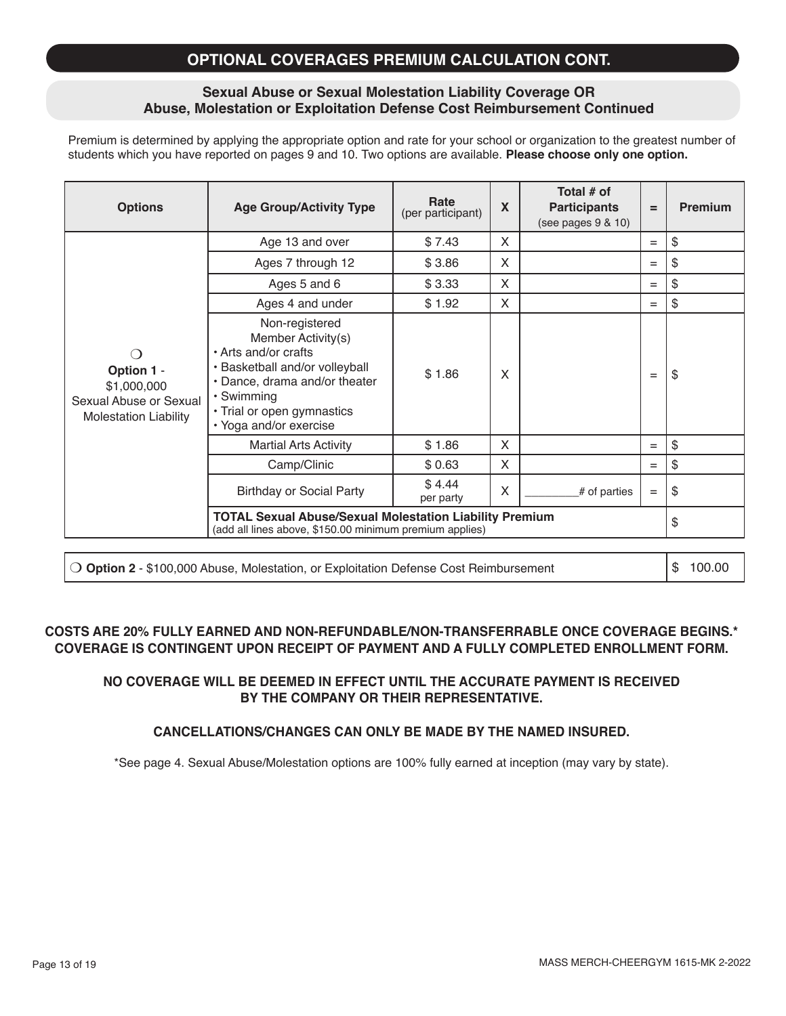### **OPTIONAL COVERAGES PREMIUM CALCULATION CONT.**

#### **Sexual Abuse or Sexual Molestation Liability Coverage OR Abuse, Molestation or Exploitation Defense Cost Reimbursement Continued**

Premium is determined by applying the appropriate option and rate for your school or organization to the greatest number of students which you have reported on pages 9 and 10. Two options are available. **Please choose only one option.**

| <b>Options</b>                                                                      | <b>Age Group/Activity Type</b>                                                                                                                                                                        | Rate<br>(per participant) | X | Total # of<br><b>Participants</b><br>(see pages 9 & 10) | $=$ | <b>Premium</b> |
|-------------------------------------------------------------------------------------|-------------------------------------------------------------------------------------------------------------------------------------------------------------------------------------------------------|---------------------------|---|---------------------------------------------------------|-----|----------------|
|                                                                                     | Age 13 and over                                                                                                                                                                                       | \$7.43                    | X |                                                         | $=$ | \$             |
|                                                                                     | Ages 7 through 12                                                                                                                                                                                     | \$3.86                    | X |                                                         | $=$ | \$             |
|                                                                                     | Ages 5 and 6                                                                                                                                                                                          | \$3.33                    | X |                                                         | $=$ | \$             |
|                                                                                     | Ages 4 and under                                                                                                                                                                                      | \$1.92                    | X |                                                         | $=$ | \$             |
| Option 1 -<br>\$1,000,000<br>Sexual Abuse or Sexual<br><b>Molestation Liability</b> | Non-registered<br>Member Activity(s)<br>• Arts and/or crafts<br>• Basketball and/or volleyball<br>• Dance, drama and/or theater<br>• Swimming<br>• Trial or open gymnastics<br>• Yoga and/or exercise | \$1.86                    | X |                                                         | $=$ | \$             |
|                                                                                     | <b>Martial Arts Activity</b>                                                                                                                                                                          | \$1.86                    | X |                                                         | $=$ | \$             |
|                                                                                     | Camp/Clinic                                                                                                                                                                                           | \$0.63                    | X |                                                         | $=$ | \$             |
|                                                                                     | <b>Birthday or Social Party</b>                                                                                                                                                                       | \$4.44<br>per party       | X | # of parties                                            | $=$ | \$             |
|                                                                                     | <b>TOTAL Sexual Abuse/Sexual Molestation Liability Premium</b><br>(add all lines above, \$150.00 minimum premium applies)                                                                             |                           |   |                                                         |     | \$             |

**O Option 2** - \$100,000 Abuse, Molestation, or Exploitation Defense Cost Reimbursement  $\frac{1}{3}$  100.00

**COSTS ARE 20% FULLY EARNED AND NON-REFUNDABLE/NON-TRANSFERRABLE ONCE COVERAGE BEGINS.\* COVERAGE IS CONTINGENT UPON RECEIPT OF PAYMENT AND A FULLY COMPLETED ENROLLMENT FORM.**

#### **NO COVERAGE WILL BE DEEMED IN EFFECT UNTIL THE ACCURATE PAYMENT IS RECEIVED BY THE COMPANY OR THEIR REPRESENTATIVE.**

#### **CANCELLATIONS/CHANGES CAN ONLY BE MADE BY THE NAMED INSURED.**

\*See page 4. Sexual Abuse/Molestation options are 100% fully earned at inception (may vary by state).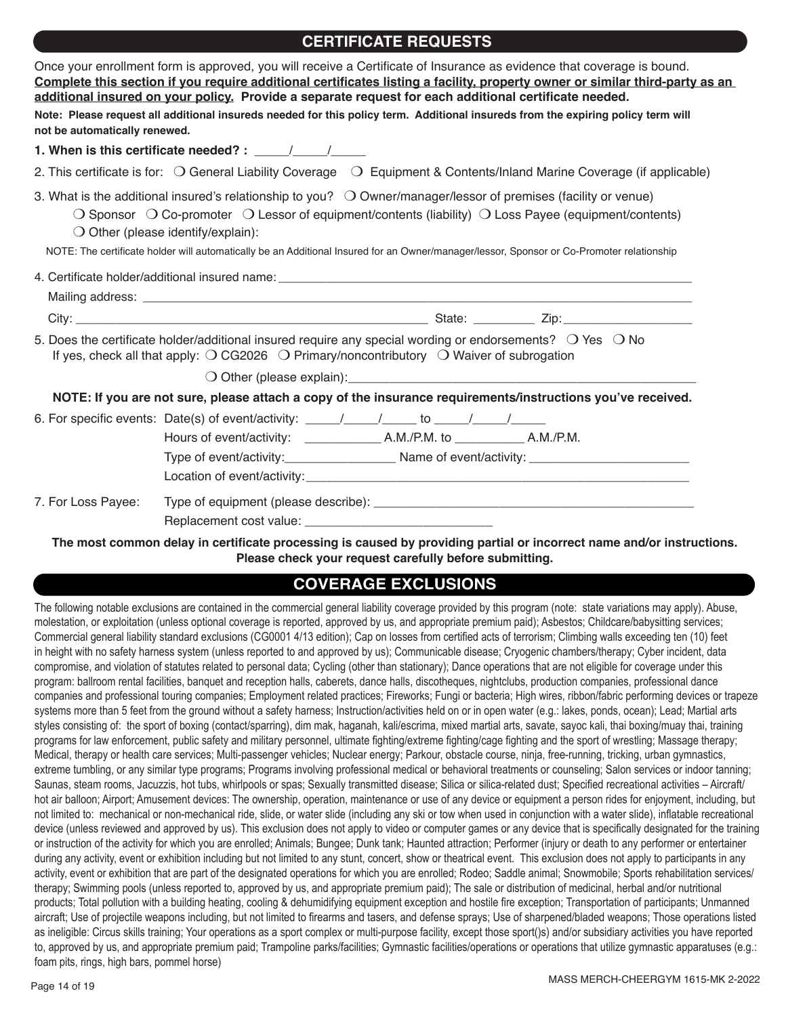### **CERTIFICATE REQUESTS**

| not be automatically renewed. | Once your enrollment form is approved, you will receive a Certificate of Insurance as evidence that coverage is bound.<br>Complete this section if you require additional certificates listing a facility, property owner or similar third-party as an<br>additional insured on your policy. Provide a separate request for each additional certificate needed.<br>Note: Please request all additional insureds needed for this policy term. Additional insureds from the expiring policy term will |
|-------------------------------|-----------------------------------------------------------------------------------------------------------------------------------------------------------------------------------------------------------------------------------------------------------------------------------------------------------------------------------------------------------------------------------------------------------------------------------------------------------------------------------------------------|
|                               | 1. When is this certificate needed? : $\frac{1}{\frac{1}{2} \cdot \frac{1}{2} \cdot \frac{1}{2} \cdot \frac{1}{2} \cdot \frac{1}{2} \cdot \frac{1}{2} \cdot \frac{1}{2} \cdot \frac{1}{2} \cdot \frac{1}{2} \cdot \frac{1}{2} \cdot \frac{1}{2} \cdot \frac{1}{2} \cdot \frac{1}{2} \cdot \frac{1}{2} \cdot \frac{1}{2} \cdot \frac{1}{2} \cdot \frac{1}{2} \cdot \frac{1}{2} \cdot \frac{1}{2} \cdot \frac{1}{2$                                                                                   |
|                               | 2. This certificate is for: $\bigcirc$ General Liability Coverage $\bigcirc$ Equipment & Contents/Inland Marine Coverage (if applicable)                                                                                                                                                                                                                                                                                                                                                            |
|                               | 3. What is the additional insured's relationship to you? $\bigcirc$ Owner/manager/lessor of premises (facility or venue)<br>$\bigcirc$ Sponsor $\bigcirc$ Co-promoter $\bigcirc$ Lessor of equipment/contents (liability) $\bigcirc$ Loss Payee (equipment/contents)<br>$\bigcirc$ Other (please identify/explain):<br>NOTE: The certificate holder will automatically be an Additional Insured for an Owner/manager/lessor, Sponsor or Co-Promoter relationship                                    |
|                               |                                                                                                                                                                                                                                                                                                                                                                                                                                                                                                     |
|                               |                                                                                                                                                                                                                                                                                                                                                                                                                                                                                                     |
|                               | 5. Does the certificate holder/additional insured require any special wording or endorsements? $\bigcirc$ Yes $\bigcirc$ No<br>If yes, check all that apply: $\bigcirc$ CG2026 $\bigcirc$ Primary/noncontributory $\bigcirc$ Waiver of subrogation                                                                                                                                                                                                                                                  |
|                               | $\bigcirc$ Other (please explain):                                                                                                                                                                                                                                                                                                                                                                                                                                                                  |
|                               | NOTE: If you are not sure, please attach a copy of the insurance requirements/instructions you've received.                                                                                                                                                                                                                                                                                                                                                                                         |
|                               |                                                                                                                                                                                                                                                                                                                                                                                                                                                                                                     |
| 7. For Loss Payee:            |                                                                                                                                                                                                                                                                                                                                                                                                                                                                                                     |
|                               | The most common delay in certificate processing is caused by providing partial or incorrect name and/or instructions.                                                                                                                                                                                                                                                                                                                                                                               |

**Please check your request carefully before submitting.**

# **COVERAGE EXCLUSIONS**

The following notable exclusions are contained in the commercial general liability coverage provided by this program (note: state variations may apply). Abuse, molestation, or exploitation (unless optional coverage is reported, approved by us, and appropriate premium paid); Asbestos; Childcare/babysitting services; Commercial general liability standard exclusions (CG0001 4/13 edition); Cap on losses from certified acts of terrorism; Climbing walls exceeding ten (10) feet in height with no safety harness system (unless reported to and approved by us); Communicable disease; Cryogenic chambers/therapy; Cyber incident, data compromise, and violation of statutes related to personal data; Cycling (other than stationary); Dance operations that are not eligible for coverage under this program: ballroom rental facilities, banquet and reception halls, caberets, dance halls, discotheques, nightclubs, production companies, professional dance companies and professional touring companies; Employment related practices; Fireworks; Fungi or bacteria; High wires, ribbon/fabric performing devices or trapeze systems more than 5 feet from the ground without a safety harness; Instruction/activities held on or in open water (e.g.: lakes, ponds, ocean); Lead; Martial arts styles consisting of: the sport of boxing (contact/sparring), dim mak, haganah, kali/escrima, mixed martial arts, savate, sayoc kali, thai boxing/muay thai, training programs for law enforcement, public safety and military personnel, ultimate fighting/extreme fighting/cage fighting and the sport of wrestling; Massage therapy; Medical, therapy or health care services; Multi-passenger vehicles; Nuclear energy; Parkour, obstacle course, ninja, free-running, tricking, urban gymnastics, extreme tumbling, or any similar type programs; Programs involving professional medical or behavioral treatments or counseling; Salon services or indoor tanning; Saunas, steam rooms, Jacuzzis, hot tubs, whirlpools or spas; Sexually transmitted disease; Silica or silica-related dust; Specified recreational activities - Aircraft/ hot air balloon; Airport; Amusement devices: The ownership, operation, maintenance or use of any device or equipment a person rides for enjoyment, including, but not limited to: mechanical or non-mechanical ride, slide, or water slide (including any ski or tow when used in conjunction with a water slide), inflatable recreational device (unless reviewed and approved by us). This exclusion does not apply to video or computer games or any device that is specifically designated for the training or instruction of the activity for which you are enrolled; Animals; Bungee; Dunk tank; Haunted attraction; Performer (injury or death to any performer or entertainer during any activity, event or exhibition including but not limited to any stunt, concert, show or theatrical event. This exclusion does not apply to participants in any activity, event or exhibition that are part of the designated operations for which you are enrolled; Rodeo; Saddle animal; Snowmobile; Sports rehabilitation services/ therapy; Swimming pools (unless reported to, approved by us, and appropriate premium paid); The sale or distribution of medicinal, herbal and/or nutritional products; Total pollution with a building heating, cooling & dehumidifying equipment exception and hostile fire exception; Transportation of participants; Unmanned aircraft; Use of projectile weapons including, but not limited to firearms and tasers, and defense sprays; Use of sharpened/bladed weapons; Those operations listed as ineligible: Circus skills training; Your operations as a sport complex or multi-purpose facility, except those sport()s) and/or subsidiary activities you have reported to, approved by us, and appropriate premium paid; Trampoline parks/facilities; Gymnastic facilities/operations or operations that utilize gymnastic apparatuses (e.g.: foam pits, rings, high bars, pommel horse)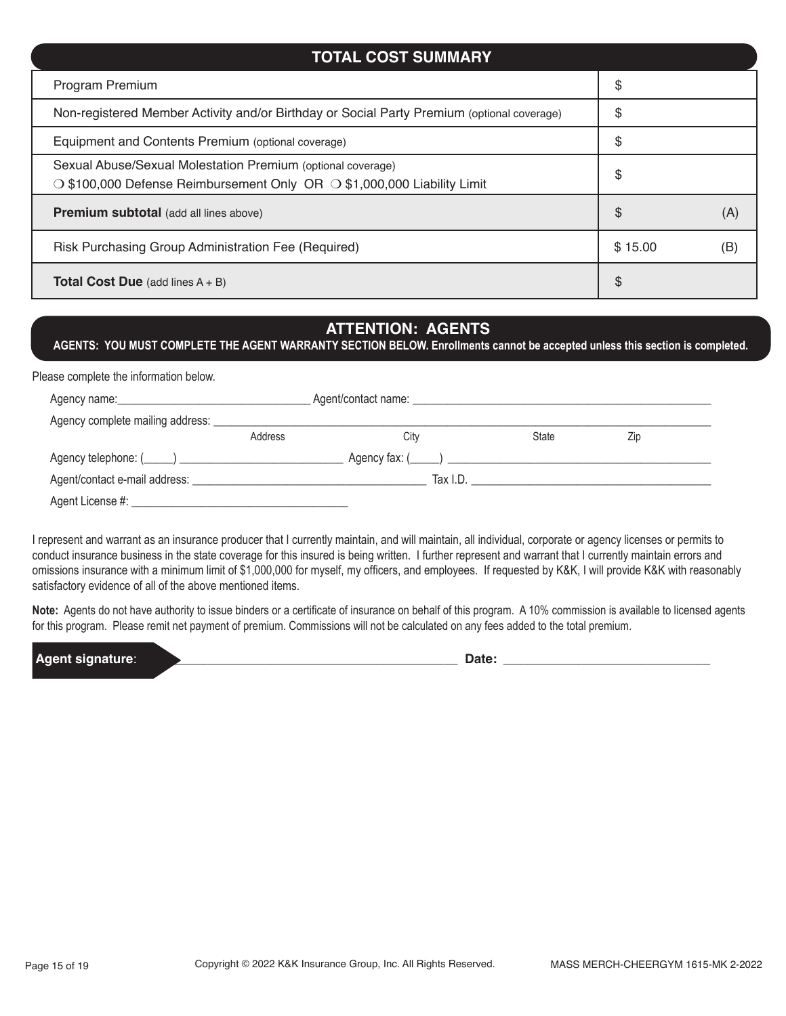# Program Premium  $\uparrow$ Non-registered Member Activity and/or Birthday or Social Party Premium (optional coverage)  $\parallel$  \$ Equipment and Contents Premium (optional coverage)  $\S$ Sexual Abuse/Sexual Molestation Premium (optional coverage)  $\sim$  \$100,000 Defense Reimbursement Only OR  $\sim$  \$1,000,000 Liability Limit  $\sim$ **Premium subtotal** (add all lines above) **by the contract of the contract of the contract of the contract of the contract of the contract of the contract of the contract of the contract of the contract of the contract of t** Risk Purchasing Group Administration Fee (Required)  $\begin{array}{|l|l|}\n\hline\n\end{array}$  \$ 15.00 (B) **Total Cost Due** (add lines A + B)  $\qquad$  **\$ TOTAL COST SUMMARY**

# **ATTENTION: AGENTS**

**AGENTS: YOU MUST COMPLETE THE AGENT WARRANTY SECTION BELOW. Enrollments cannot be accepted unless this section is completed.**

| Please complete the information below. |         |                                     |                        |     |  |
|----------------------------------------|---------|-------------------------------------|------------------------|-----|--|
|                                        |         |                                     |                        |     |  |
| Agency complete mailing address:       |         |                                     |                        |     |  |
|                                        | Address | City                                | State                  | Zip |  |
|                                        |         | $A$ gency fax: $($ $)$ $)$ $\qquad$ |                        |     |  |
|                                        |         |                                     | $\frac{1}{2}$ Tax I.D. |     |  |
| Agent License #:                       |         |                                     |                        |     |  |

I represent and warrant as an insurance producer that I currently maintain, and will maintain, all individual, corporate or agency licenses or permits to conduct insurance business in the state coverage for this insured is being written. I further represent and warrant that I currently maintain errors and omissions insurance with a minimum limit of \$1,000,000 for myself, my officers, and employees. If requested by K&K, I will provide K&K with reasonably satisfactory evidence of all of the above mentioned items.

**Note:** Agents do not have authority to issue binders or a certificate of insurance on behalf of this program. A 10% commission is available to licensed agents for this program. Please remit net payment of premium. Commissions will not be calculated on any fees added to the total premium.

**Agent signature**: \_\_\_\_\_\_\_\_\_\_\_\_\_\_\_\_\_\_\_\_\_\_\_\_\_\_\_\_\_\_\_\_\_\_\_\_\_\_\_\_\_\_\_\_ **Date:** \_\_\_\_\_\_\_\_\_\_\_\_\_\_\_\_\_\_\_\_\_\_\_\_\_\_\_\_\_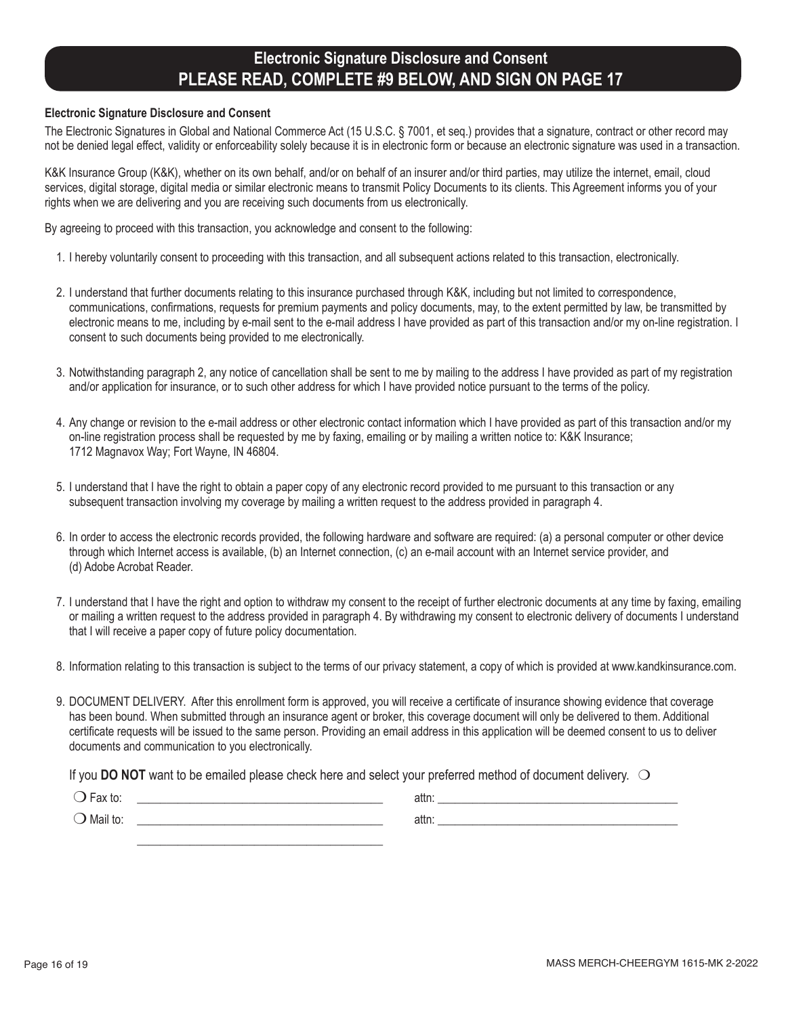# **Electronic Signature Disclosure and Consent PLEASE READ, COMPLETE #9 BELOW, AND SIGN ON PAGE 17**

#### **Electronic Signature Disclosure and Consent**

The Electronic Signatures in Global and National Commerce Act (15 U.S.C. § 7001, et seq.) provides that a signature, contract or other record may not be denied legal effect, validity or enforceability solely because it is in electronic form or because an electronic signature was used in a transaction.

K&K Insurance Group (K&K), whether on its own behalf, and/or on behalf of an insurer and/or third parties, may utilize the internet, email, cloud services, digital storage, digital media or similar electronic means to transmit Policy Documents to its clients. This Agreement informs you of your rights when we are delivering and you are receiving such documents from us electronically.

By agreeing to proceed with this transaction, you acknowledge and consent to the following:

- 1. I hereby voluntarily consent to proceeding with this transaction, and all subsequent actions related to this transaction, electronically.
- 2. I understand that further documents relating to this insurance purchased through K&K, including but not limited to correspondence, communications, confirmations, requests for premium payments and policy documents, may, to the extent permitted by law, be transmitted by electronic means to me, including by e-mail sent to the e-mail address I have provided as part of this transaction and/or my on-line registration. I consent to such documents being provided to me electronically.
- 3. Notwithstanding paragraph 2, any notice of cancellation shall be sent to me by mailing to the address I have provided as part of my registration and/or application for insurance, or to such other address for which I have provided notice pursuant to the terms of the policy.
- 4. Any change or revision to the e-mail address or other electronic contact information which I have provided as part of this transaction and/or my on-line registration process shall be requested by me by faxing, emailing or by mailing a written notice to: K&K Insurance; 1712 Magnavox Way; Fort Wayne, IN 46804.
- 5. I understand that I have the right to obtain a paper copy of any electronic record provided to me pursuant to this transaction or any subsequent transaction involving my coverage by mailing a written request to the address provided in paragraph 4.
- 6. In order to access the electronic records provided, the following hardware and software are required: (a) a personal computer or other device through which Internet access is available, (b) an Internet connection, (c) an e-mail account with an Internet service provider, and (d) Adobe Acrobat Reader.
- 7. I understand that I have the right and option to withdraw my consent to the receipt of further electronic documents at any time by faxing, emailing or mailing a written request to the address provided in paragraph 4. By withdrawing my consent to electronic delivery of documents I understand that I will receive a paper copy of future policy documentation.
- 8. Information relating to this transaction is subject to the terms of our privacy statement, a copy of which is provided at www.kandkinsurance.com.
- 9. DOCUMENT DELIVERY. After this enrollment form is approved, you will receive a certificate of insurance showing evidence that coverage has been bound. When submitted through an insurance agent or broker, this coverage document will only be delivered to them. Additional certificate requests will be issued to the same person. Providing an email address in this application will be deemed consent to us to deliver documents and communication to you electronically.

If you **DO NOT** want to be emailed please check here and select your preferred method of document delivery.  $\bigcirc$ 

 $\frac{1}{\sqrt{2}}$  ,  $\frac{1}{\sqrt{2}}$  ,  $\frac{1}{\sqrt{2}}$  ,  $\frac{1}{\sqrt{2}}$  ,  $\frac{1}{\sqrt{2}}$  ,  $\frac{1}{\sqrt{2}}$  ,  $\frac{1}{\sqrt{2}}$  ,  $\frac{1}{\sqrt{2}}$  ,  $\frac{1}{\sqrt{2}}$  ,  $\frac{1}{\sqrt{2}}$  ,  $\frac{1}{\sqrt{2}}$  ,  $\frac{1}{\sqrt{2}}$  ,  $\frac{1}{\sqrt{2}}$  ,  $\frac{1}{\sqrt{2}}$  ,  $\frac{1}{\sqrt{2}}$ 

| αλ ιυ.   | − ott∽<br>auu. |  |
|----------|----------------|--|
| Mail to: | αιιι           |  |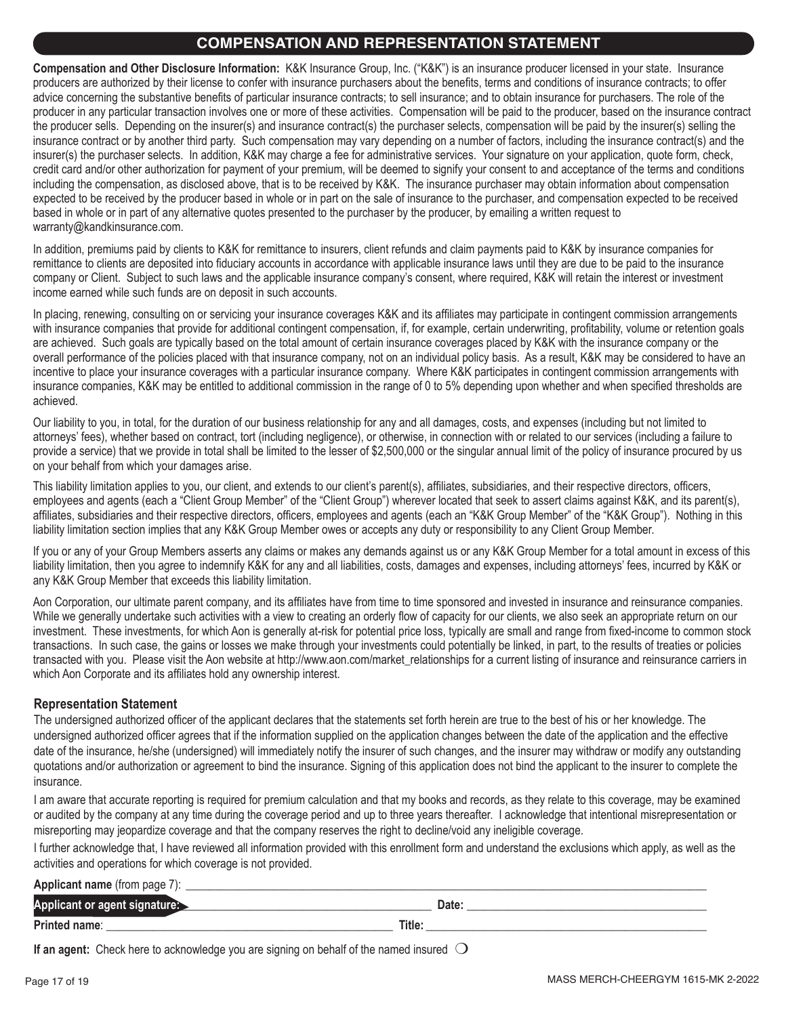### **COMPENSATION AND REPRESENTATION STATEMENT**

**Compensation and Other Disclosure Information:** K&K Insurance Group, Inc. ("K&K") is an insurance producer licensed in your state. Insurance producers are authorized by their license to confer with insurance purchasers about the benefits, terms and conditions of insurance contracts; to offer advice concerning the substantive benefits of particular insurance contracts; to sell insurance; and to obtain insurance for purchasers. The role of the producer in any particular transaction involves one or more of these activities. Compensation will be paid to the producer, based on the insurance contract the producer sells. Depending on the insurer(s) and insurance contract(s) the purchaser selects, compensation will be paid by the insurer(s) selling the insurance contract or by another third party. Such compensation may vary depending on a number of factors, including the insurance contract(s) and the insurer(s) the purchaser selects. In addition, K&K may charge a fee for administrative services. Your signature on your application, quote form, check, credit card and/or other authorization for payment of your premium, will be deemed to signify your consent to and acceptance of the terms and conditions including the compensation, as disclosed above, that is to be received by K&K. The insurance purchaser may obtain information about compensation expected to be received by the producer based in whole or in part on the sale of insurance to the purchaser, and compensation expected to be received based in whole or in part of any alternative quotes presented to the purchaser by the producer, by emailing a written request to warranty@kandkinsurance.com.

In addition, premiums paid by clients to K&K for remittance to insurers, client refunds and claim payments paid to K&K by insurance companies for remittance to clients are deposited into fiduciary accounts in accordance with applicable insurance laws until they are due to be paid to the insurance company or Client. Subject to such laws and the applicable insurance company's consent, where required, K&K will retain the interest or investment income earned while such funds are on deposit in such accounts.

In placing, renewing, consulting on or servicing your insurance coverages K&K and its affiliates may participate in contingent commission arrangements with insurance companies that provide for additional contingent compensation, if, for example, certain underwriting, profitability, volume or retention goals are achieved. Such goals are typically based on the total amount of certain insurance coverages placed by K&K with the insurance company or the overall performance of the policies placed with that insurance company, not on an individual policy basis. As a result, K&K may be considered to have an incentive to place your insurance coverages with a particular insurance company. Where K&K participates in contingent commission arrangements with insurance companies, K&K may be entitled to additional commission in the range of 0 to 5% depending upon whether and when specified thresholds are achieved.

Our liability to you, in total, for the duration of our business relationship for any and all damages, costs, and expenses (including but not limited to attorneys' fees), whether based on contract, tort (including negligence), or otherwise, in connection with or related to our services (including a failure to provide a service) that we provide in total shall be limited to the lesser of \$2,500,000 or the singular annual limit of the policy of insurance procured by us on your behalf from which your damages arise.

This liability limitation applies to you, our client, and extends to our client's parent(s), affiliates, subsidiaries, and their respective directors, officers, employees and agents (each a "Client Group Member" of the "Client Group") wherever located that seek to assert claims against K&K, and its parent(s), affiliates, subsidiaries and their respective directors, officers, employees and agents (each an "K&K Group Member" of the "K&K Group"). Nothing in this liability limitation section implies that any K&K Group Member owes or accepts any duty or responsibility to any Client Group Member.

If you or any of your Group Members asserts any claims or makes any demands against us or any K&K Group Member for a total amount in excess of this liability limitation, then you agree to indemnify K&K for any and all liabilities, costs, damages and expenses, including attorneys' fees, incurred by K&K or any K&K Group Member that exceeds this liability limitation.

Aon Corporation, our ultimate parent company, and its affiliates have from time to time sponsored and invested in insurance and reinsurance companies. While we generally undertake such activities with a view to creating an orderly flow of capacity for our clients, we also seek an appropriate return on our investment. These investments, for which Aon is generally at-risk for potential price loss, typically are small and range from fixed-income to common stock transactions. In such case, the gains or losses we make through your investments could potentially be linked, in part, to the results of treaties or policies transacted with you. Please visit the Aon website at http://www.aon.com/market\_relationships for a current listing of insurance and reinsurance carriers in which Aon Corporate and its affiliates hold any ownership interest.

#### **Representation Statement**

The undersigned authorized officer of the applicant declares that the statements set forth herein are true to the best of his or her knowledge. The undersigned authorized officer agrees that if the information supplied on the application changes between the date of the application and the effective date of the insurance, he/she (undersigned) will immediately notify the insurer of such changes, and the insurer may withdraw or modify any outstanding quotations and/or authorization or agreement to bind the insurance. Signing of this application does not bind the applicant to the insurer to complete the insurance.

I am aware that accurate reporting is required for premium calculation and that my books and records, as they relate to this coverage, may be examined or audited by the company at any time during the coverage period and up to three years thereafter. I acknowledge that intentional misrepresentation or misreporting may jeopardize coverage and that the company reserves the right to decline/void any ineligible coverage.

I further acknowledge that, I have reviewed all information provided with this enrollment form and understand the exclusions which apply, as well as the activities and operations for which coverage is not provided.

| Applicant name (from page 7)  |        |
|-------------------------------|--------|
| Applicant or agent signature: | Date.  |
| Printed name:                 | Title: |

**If an agent:** Check here to acknowledge you are signing on behalf of the named insured  $\bigcirc$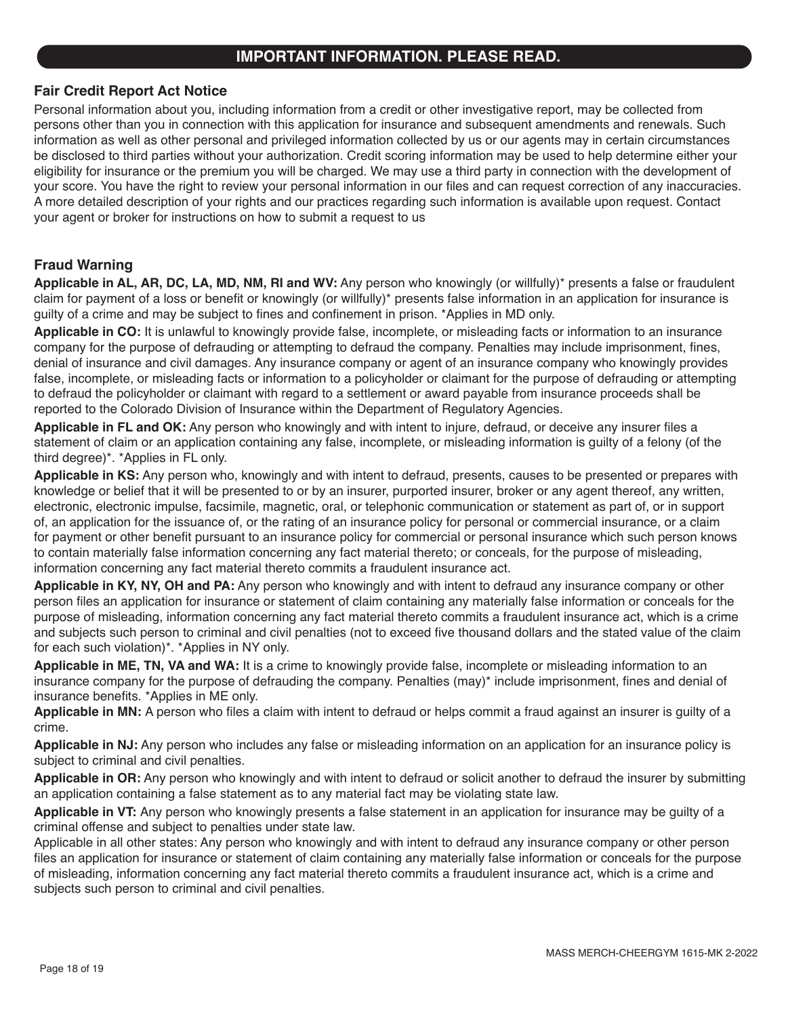### **IMPORTANT INFORMATION. PLEASE READ.**

#### **Fair Credit Report Act Notice**

Personal information about you, including information from a credit or other investigative report, may be collected from persons other than you in connection with this application for insurance and subsequent amendments and renewals. Such information as well as other personal and privileged information collected by us or our agents may in certain circumstances be disclosed to third parties without your authorization. Credit scoring information may be used to help determine either your eligibility for insurance or the premium you will be charged. We may use a third party in connection with the development of your score. You have the right to review your personal information in our files and can request correction of any inaccuracies. A more detailed description of your rights and our practices regarding such information is available upon request. Contact your agent or broker for instructions on how to submit a request to us

#### **Fraud Warning**

**Applicable in AL, AR, DC, LA, MD, NM, RI and WV:** Any person who knowingly (or willfully)\* presents a false or fraudulent claim for payment of a loss or benefit or knowingly (or willfully)\* presents false information in an application for insurance is guilty of a crime and may be subject to fines and confinement in prison. \*Applies in MD only.

**Applicable in CO:** It is unlawful to knowingly provide false, incomplete, or misleading facts or information to an insurance company for the purpose of defrauding or attempting to defraud the company. Penalties may include imprisonment, fines, denial of insurance and civil damages. Any insurance company or agent of an insurance company who knowingly provides false, incomplete, or misleading facts or information to a policyholder or claimant for the purpose of defrauding or attempting to defraud the policyholder or claimant with regard to a settlement or award payable from insurance proceeds shall be reported to the Colorado Division of Insurance within the Department of Regulatory Agencies.

**Applicable in FL and OK:** Any person who knowingly and with intent to injure, defraud, or deceive any insurer files a statement of claim or an application containing any false, incomplete, or misleading information is guilty of a felony (of the third degree)\*. \*Applies in FL only.

**Applicable in KS:** Any person who, knowingly and with intent to defraud, presents, causes to be presented or prepares with knowledge or belief that it will be presented to or by an insurer, purported insurer, broker or any agent thereof, any written, electronic, electronic impulse, facsimile, magnetic, oral, or telephonic communication or statement as part of, or in support of, an application for the issuance of, or the rating of an insurance policy for personal or commercial insurance, or a claim for payment or other benefit pursuant to an insurance policy for commercial or personal insurance which such person knows to contain materially false information concerning any fact material thereto; or conceals, for the purpose of misleading, information concerning any fact material thereto commits a fraudulent insurance act.

**Applicable in KY, NY, OH and PA:** Any person who knowingly and with intent to defraud any insurance company or other person files an application for insurance or statement of claim containing any materially false information or conceals for the purpose of misleading, information concerning any fact material thereto commits a fraudulent insurance act, which is a crime and subjects such person to criminal and civil penalties (not to exceed five thousand dollars and the stated value of the claim for each such violation)\*. \*Applies in NY only.

**Applicable in ME, TN, VA and WA:** It is a crime to knowingly provide false, incomplete or misleading information to an insurance company for the purpose of defrauding the company. Penalties (may)\* include imprisonment, fines and denial of insurance benefits. \*Applies in ME only.

**Applicable in MN:** A person who files a claim with intent to defraud or helps commit a fraud against an insurer is guilty of a crime.

**Applicable in NJ:** Any person who includes any false or misleading information on an application for an insurance policy is subject to criminal and civil penalties.

**Applicable in OR:** Any person who knowingly and with intent to defraud or solicit another to defraud the insurer by submitting an application containing a false statement as to any material fact may be violating state law.

**Applicable in VT:** Any person who knowingly presents a false statement in an application for insurance may be guilty of a criminal offense and subject to penalties under state law.

Applicable in all other states: Any person who knowingly and with intent to defraud any insurance company or other person files an application for insurance or statement of claim containing any materially false information or conceals for the purpose of misleading, information concerning any fact material thereto commits a fraudulent insurance act, which is a crime and subjects such person to criminal and civil penalties.